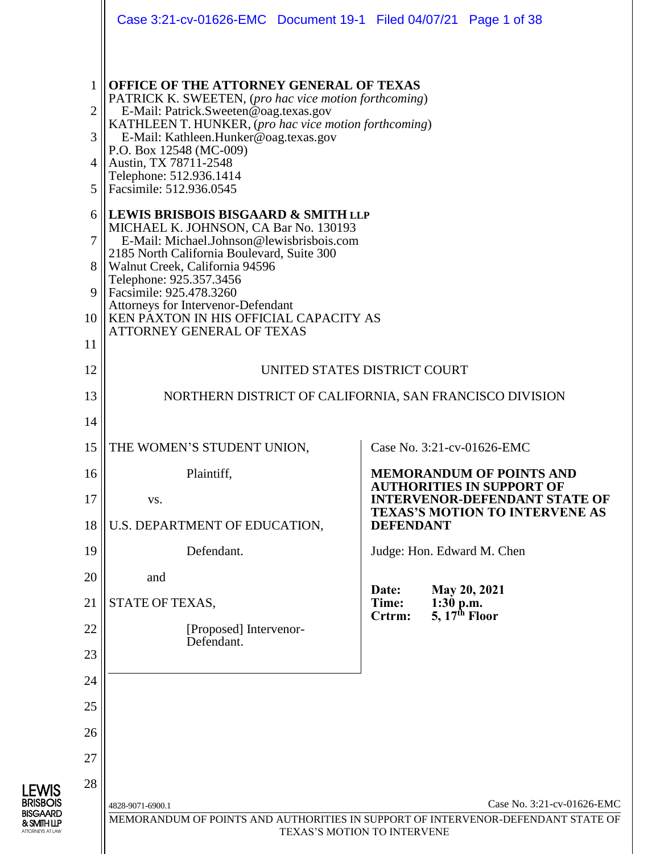|                                 | Case 3:21-cv-01626-EMC  Document 19-1  Filed 04/07/21  Page 1 of 38                                                                                                                                                                                                                                                                                                                                                                                                                                                                                                                  |                                                                                                                |  |  |  |  |  |  |
|---------------------------------|--------------------------------------------------------------------------------------------------------------------------------------------------------------------------------------------------------------------------------------------------------------------------------------------------------------------------------------------------------------------------------------------------------------------------------------------------------------------------------------------------------------------------------------------------------------------------------------|----------------------------------------------------------------------------------------------------------------|--|--|--|--|--|--|
| 2<br>3<br>4<br>5<br>6<br>7<br>8 | <b>OFFICE OF THE ATTORNEY GENERAL OF TEXAS</b><br>PATRICK K. SWEETEN, (pro hac vice motion forthcoming)<br>E-Mail: Patrick.Sweeten@oag.texas.gov<br>KATHLEEN T. HUNKER, (pro hac vice motion forthcoming)<br>E-Mail: Kathleen.Hunker@oag.texas.gov<br>P.O. Box 12548 (MC-009)<br>Austin, TX 78711-2548<br>Telephone: 512.936.1414<br>Facsimile: 512.936.0545<br><b>LEWIS BRISBOIS BISGAARD &amp; SMITH LLP</b><br>MICHAEL K. JOHNSON, CA Bar No. 130193<br>E-Mail: Michael.Johnson@lewisbrisbois.com<br>2185 North California Boulevard, Suite 300<br>Walnut Creek, California 94596 |                                                                                                                |  |  |  |  |  |  |
| 9<br>10<br>11                   | Telephone: 925.357.3456<br>Facsimile: 925.478.3260<br>Attorneys for Intervenor-Defendant<br>KEN PAXTON IN HIS OFFICIAL CAPACITY AS<br>ATTORNEY GENERAL OF TEXAS                                                                                                                                                                                                                                                                                                                                                                                                                      |                                                                                                                |  |  |  |  |  |  |
| 12                              |                                                                                                                                                                                                                                                                                                                                                                                                                                                                                                                                                                                      | UNITED STATES DISTRICT COURT                                                                                   |  |  |  |  |  |  |
| 13                              |                                                                                                                                                                                                                                                                                                                                                                                                                                                                                                                                                                                      | NORTHERN DISTRICT OF CALIFORNIA, SAN FRANCISCO DIVISION                                                        |  |  |  |  |  |  |
| 14                              |                                                                                                                                                                                                                                                                                                                                                                                                                                                                                                                                                                                      |                                                                                                                |  |  |  |  |  |  |
| 15                              | THE WOMEN'S STUDENT UNION,                                                                                                                                                                                                                                                                                                                                                                                                                                                                                                                                                           | Case No. 3:21-cv-01626-EMC                                                                                     |  |  |  |  |  |  |
| 16                              | Plaintiff,                                                                                                                                                                                                                                                                                                                                                                                                                                                                                                                                                                           | <b>MEMORANDUM OF POINTS AND</b><br><b>AUTHORITIES IN SUPPORT OF</b>                                            |  |  |  |  |  |  |
| 17                              | VS.                                                                                                                                                                                                                                                                                                                                                                                                                                                                                                                                                                                  | <b>INTERVENOR-DEFENDANT STATE OF</b><br><b>TEXAS'S MOTION TO INTERVENE AS</b>                                  |  |  |  |  |  |  |
| 18                              | U.S. DEPARTMENT OF EDUCATION,                                                                                                                                                                                                                                                                                                                                                                                                                                                                                                                                                        | <b>DEFENDANT</b>                                                                                               |  |  |  |  |  |  |
| 19                              | Defendant.                                                                                                                                                                                                                                                                                                                                                                                                                                                                                                                                                                           | Judge: Hon. Edward M. Chen                                                                                     |  |  |  |  |  |  |
| 20                              | and                                                                                                                                                                                                                                                                                                                                                                                                                                                                                                                                                                                  | May 20, 2021<br>Date:                                                                                          |  |  |  |  |  |  |
| 21                              | STATE OF TEXAS,                                                                                                                                                                                                                                                                                                                                                                                                                                                                                                                                                                      | Time:<br>$1:30$ p.m.<br>5, $17th$ Floor<br>Crtrm:                                                              |  |  |  |  |  |  |
| 22                              | [Proposed] Intervenor-<br>Defendant.                                                                                                                                                                                                                                                                                                                                                                                                                                                                                                                                                 |                                                                                                                |  |  |  |  |  |  |
| 23                              |                                                                                                                                                                                                                                                                                                                                                                                                                                                                                                                                                                                      |                                                                                                                |  |  |  |  |  |  |
| 24                              |                                                                                                                                                                                                                                                                                                                                                                                                                                                                                                                                                                                      |                                                                                                                |  |  |  |  |  |  |
| 25                              |                                                                                                                                                                                                                                                                                                                                                                                                                                                                                                                                                                                      |                                                                                                                |  |  |  |  |  |  |
| 26                              |                                                                                                                                                                                                                                                                                                                                                                                                                                                                                                                                                                                      |                                                                                                                |  |  |  |  |  |  |
| 27                              |                                                                                                                                                                                                                                                                                                                                                                                                                                                                                                                                                                                      |                                                                                                                |  |  |  |  |  |  |
| 28                              |                                                                                                                                                                                                                                                                                                                                                                                                                                                                                                                                                                                      |                                                                                                                |  |  |  |  |  |  |
|                                 | 4828-9071-6900.1                                                                                                                                                                                                                                                                                                                                                                                                                                                                                                                                                                     | Case No. 3:21-cv-01626-EMC<br>MEMORANDUM OF POINTS AND AUTHORITIES IN SUPPORT OF INTERVENOR-DEFENDANT STATE OF |  |  |  |  |  |  |
|                                 |                                                                                                                                                                                                                                                                                                                                                                                                                                                                                                                                                                                      | TEXAS'S MOTION TO INTERVENE                                                                                    |  |  |  |  |  |  |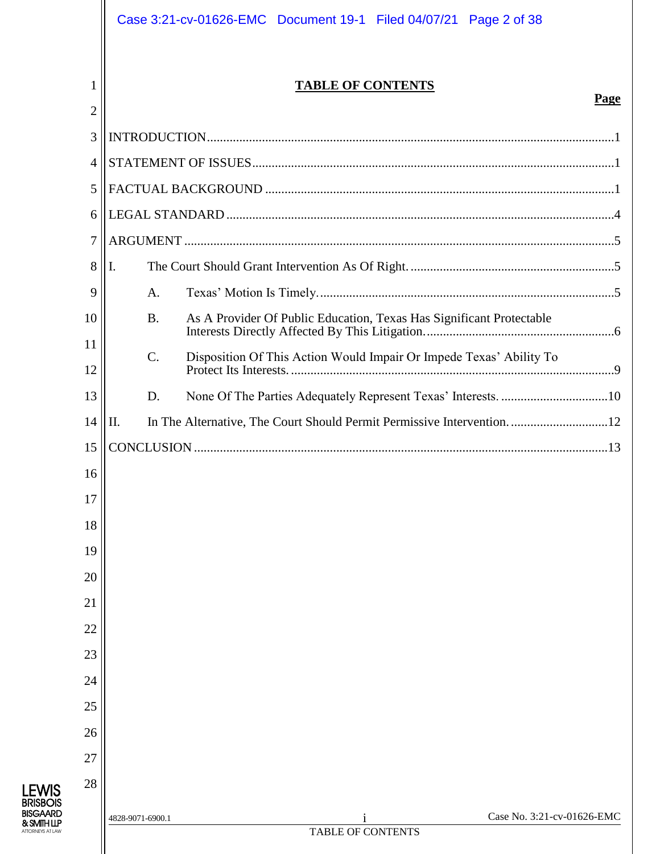|        | Case 3:21-cv-01626-EMC  Document 19-1  Filed 04/07/21  Page 2 of 38               |
|--------|-----------------------------------------------------------------------------------|
| 1<br>2 | <b>TABLE OF CONTENTS</b><br>Page                                                  |
| 3      |                                                                                   |
| 4      |                                                                                   |
| 5      |                                                                                   |
| 6      |                                                                                   |
| 7      |                                                                                   |
| 8      | Ι.                                                                                |
| 9      | A.                                                                                |
| 10     | <b>B.</b><br>As A Provider Of Public Education, Texas Has Significant Protectable |
| 11     | $\mathcal{C}$ .                                                                   |
| 12     | Disposition Of This Action Would Impair Or Impede Texas' Ability To               |
| 13     | D.                                                                                |
| 14     | In The Alternative, The Court Should Permit Permissive Intervention12<br>II.      |
| 15     |                                                                                   |
| 16     |                                                                                   |
| 17     |                                                                                   |
| 18     |                                                                                   |
| 19     |                                                                                   |
| 20     |                                                                                   |
| 21     |                                                                                   |
| 22     |                                                                                   |
| 23     |                                                                                   |
| 24     |                                                                                   |
| 25     |                                                                                   |
| 26     |                                                                                   |
| 27     |                                                                                   |
| 28     |                                                                                   |
|        | Case No. 3:21-cv-01626-EMC<br>4828-9071-6900.1<br>TABLE OF CONTENTS               |
|        |                                                                                   |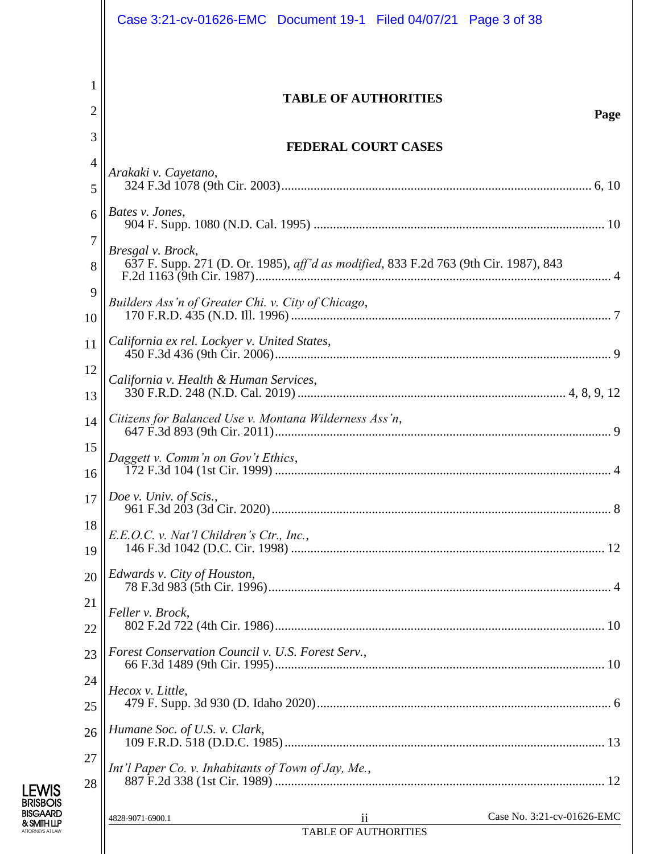|                | Case 3:21-cv-01626-EMC  Document 19-1  Filed 04/07/21  Page 3 of 38                                       |
|----------------|-----------------------------------------------------------------------------------------------------------|
| 1<br>2         | <b>TABLE OF AUTHORITIES</b><br>Page                                                                       |
| 3              | <b>FEDERAL COURT CASES</b>                                                                                |
| $\overline{4}$ | Arakaki v. Cayetano,                                                                                      |
| 5              |                                                                                                           |
| 6              | Bates v. Jones,                                                                                           |
| $\tau$<br>8    | Bresgal v. Brock,<br>637 F. Supp. 271 (D. Or. 1985), aff'd as modified, 833 F.2d 763 (9th Cir. 1987), 843 |
| 9<br>10        | Builders Ass'n of Greater Chi. v. City of Chicago,                                                        |
| 11             | California ex rel. Lockyer v. United States,                                                              |
| 12<br>13       | California v. Health & Human Services,                                                                    |
| 14             |                                                                                                           |
| 15<br>16       | Daggett v. Comm'n on Gov't Ethics,                                                                        |
| 17             | Doe v. Univ. of Scis.,                                                                                    |
| 18<br>19       | E.E.O.C. v. Nat'l Children's Ctr., Inc.,                                                                  |
| 20             | Edwards v. City of Houston,                                                                               |
| 21<br>22       | Feller v. Brock,                                                                                          |
| 23             | Forest Conservation Council v. U.S. Forest Serv.,                                                         |
| 24             | Hecox v. Little,                                                                                          |
| 25             | Humane Soc. of U.S. v. Clark,                                                                             |
| 26<br>27       |                                                                                                           |
| 28             | Int'l Paper Co. v. Inhabitants of Town of Jay, Me.,                                                       |
|                | Case No. 3:21-cv-01626-EMC<br>4828-9071-6900.1<br>11                                                      |
|                | <b>TABLE OF AUTHORITIES</b>                                                                               |

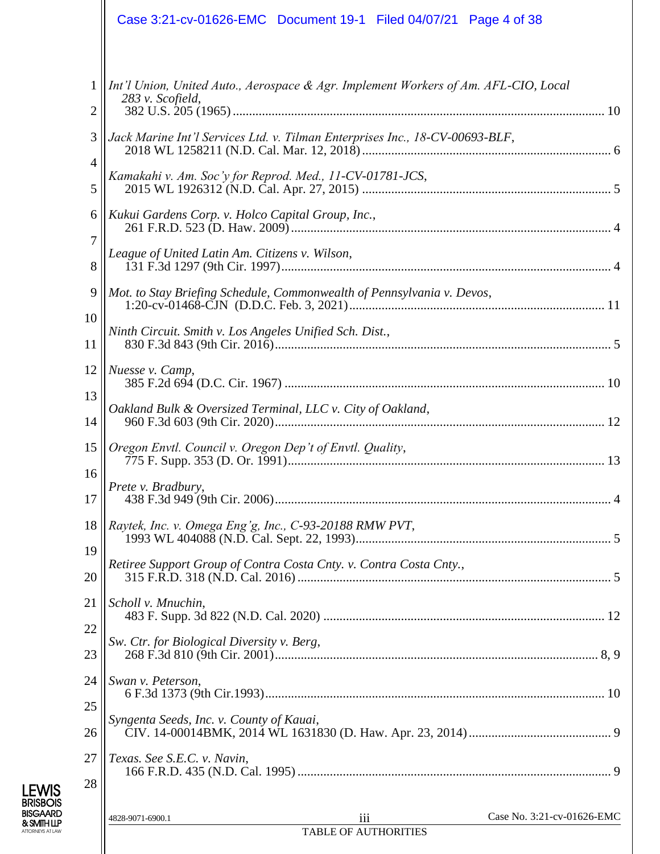|                   | Case 3:21-cv-01626-EMC  Document 19-1  Filed 04/07/21  Page 4 of 38                                     |
|-------------------|---------------------------------------------------------------------------------------------------------|
| $\mathbf{1}$<br>2 | Int'l Union, United Auto., Aerospace & Agr. Implement Workers of Am. AFL-CIO, Local<br>283 v. Scofield, |
| 3                 | Jack Marine Int'l Services Ltd. v. Tilman Enterprises Inc., 18-CV-00693-BLF,                            |
| 4<br>5            | Kamakahi v. Am. Soc'y for Reprod. Med., 11-CV-01781-JCS,                                                |
| 6                 | Kukui Gardens Corp. v. Holco Capital Group, Inc.,                                                       |
| 7<br>8            | League of United Latin Am. Citizens v. Wilson,                                                          |
| 9                 | Mot. to Stay Briefing Schedule, Commonwealth of Pennsylvania v. Devos,                                  |
| 10<br>11          | Ninth Circuit. Smith v. Los Angeles Unified Sch. Dist.,                                                 |
| 12                | Nuesse v. Camp,                                                                                         |
| 13<br>14          | Oakland Bulk & Oversized Terminal, LLC v. City of Oakland,                                              |
| 15                | Oregon Envtl. Council v. Oregon Dep't of Envtl. Quality,                                                |
| 16<br>17          | Prete v. Bradbury,                                                                                      |
| 18                | Raytek, Inc. v. Omega Eng'g, Inc., C-93-20188 RMW PVT,                                                  |
| 19<br>20          | Retiree Support Group of Contra Costa Cnty. v. Contra Costa Cnty.,                                      |
| 21                | Scholl v. Mnuchin,                                                                                      |
| 22<br>23          | Sw. Ctr. for Biological Diversity v. Berg,                                                              |
| 24                | Swan v. Peterson,                                                                                       |
| 25<br>26          | Syngenta Seeds, Inc. v. County of Kauai,                                                                |
| 27                | Texas. See S.E.C. v. Navin,                                                                             |
| 28                |                                                                                                         |
|                   | Case No. 3:21-cv-01626-EMC<br>iii<br>4828-9071-6900.1<br><b>TABLE OF AUTHORITIES</b>                    |
|                   |                                                                                                         |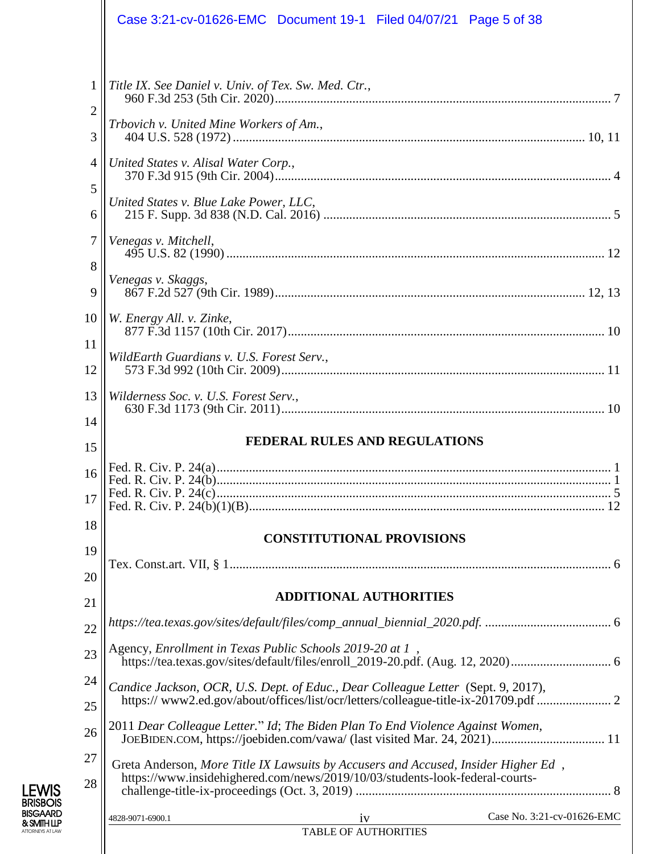|                                                                                           | Case 3:21-cv-01626-EMC  Document 19-1  Filed 04/07/21  Page 5 of 38                                                                                                                                                                                         |
|-------------------------------------------------------------------------------------------|-------------------------------------------------------------------------------------------------------------------------------------------------------------------------------------------------------------------------------------------------------------|
| $\mathbf{1}$<br>$\overline{c}$<br>3<br>$\overline{4}$<br>5<br>6<br>$\tau$<br>8<br>9<br>10 | Title IX. See Daniel v. Univ. of Tex. Sw. Med. Ctr.,<br>Trbovich v. United Mine Workers of Am.,<br>United States v. Alisal Water Corp.,<br>United States v. Blue Lake Power, LLC,<br>Venegas v. Mitchell,<br>Venegas v. Skaggs,<br>W. Energy All. v. Zinke, |
| 11<br>12                                                                                  | WildEarth Guardians v. U.S. Forest Serv.,                                                                                                                                                                                                                   |
| 13<br>14                                                                                  | Wilderness Soc. v. U.S. Forest Serv.,<br><b>FEDERAL RULES AND REGULATIONS</b>                                                                                                                                                                               |
| 15                                                                                        |                                                                                                                                                                                                                                                             |
| 16<br>17                                                                                  |                                                                                                                                                                                                                                                             |
| 18<br>19                                                                                  | <b>CONSTITUTIONAL PROVISIONS</b>                                                                                                                                                                                                                            |
|                                                                                           |                                                                                                                                                                                                                                                             |
|                                                                                           | <b>ADDITIONAL AUTHORITIES</b>                                                                                                                                                                                                                               |
|                                                                                           | Agency, Enrollment in Texas Public Schools 2019-20 at 1,                                                                                                                                                                                                    |
| 20<br>21<br>22<br>23<br>24<br>25                                                          | Candice Jackson, OCR, U.S. Dept. of Educ., Dear Colleague Letter (Sept. 9, 2017),<br>https://www2.ed.gov/about/offices/list/ocr/letters/colleague-title-ix-201709.pdf  2                                                                                    |
| 26<br>27<br>28                                                                            | 2011 Dear Colleague Letter." Id; The Biden Plan To End Violence Against Women,<br>Greta Anderson, More Title IX Lawsuits by Accusers and Accused, Insider Higher Ed,<br>https://www.insidehighered.com/news/2019/10/03/students-look-federal-courts-        |
|                                                                                           | Case No. 3:21-cv-01626-EMC<br>4828-9071-6900.1<br>1V<br><b>TABLE OF AUTHORITIES</b>                                                                                                                                                                         |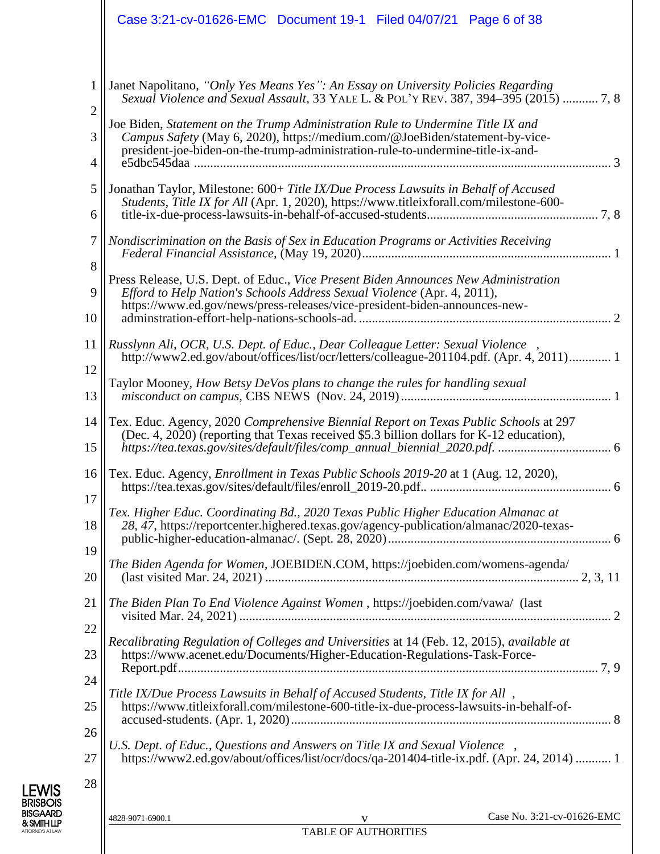|                                                   | Case 3:21-cv-01626-EMC  Document 19-1  Filed 04/07/21  Page 6 of 38                                                                                                                                                                                                                                                                                                                                                                                                                                                                                                                                                                                                                                                                                                                              |
|---------------------------------------------------|--------------------------------------------------------------------------------------------------------------------------------------------------------------------------------------------------------------------------------------------------------------------------------------------------------------------------------------------------------------------------------------------------------------------------------------------------------------------------------------------------------------------------------------------------------------------------------------------------------------------------------------------------------------------------------------------------------------------------------------------------------------------------------------------------|
| 1<br>$\overline{c}$<br>3<br>4<br>5<br>6<br>7<br>8 | Janet Napolitano, "Only Yes Means Yes": An Essay on University Policies Regarding<br>Sexual Violence and Sexual Assault, 33 YALE L. & POL'Y REV. 387, 394-395 (2015)  7, 8<br>Joe Biden, Statement on the Trump Administration Rule to Undermine Title IX and<br>Campus Safety (May 6, 2020), https://medium.com/@JoeBiden/statement-by-vice-<br>president-joe-biden-on-the-trump-administration-rule-to-undermine-title-ix-and-<br>Jonathan Taylor, Milestone: 600+ Title IX/Due Process Lawsuits in Behalf of Accused<br>Students, Title IX for All (Apr. 1, 2020), https://www.titleixforall.com/milestone-600-<br>Nondiscrimination on the Basis of Sex in Education Programs or Activities Receiving<br>Press Release, U.S. Dept. of Educ., Vice Present Biden Announces New Administration |
| 9<br>10                                           | Efford to Help Nation's Schools Address Sexual Violence (Apr. 4, 2011),<br>https://www.ed.gov/news/press-releases/vice-president-biden-announces-new-                                                                                                                                                                                                                                                                                                                                                                                                                                                                                                                                                                                                                                            |
| 11<br>12<br>13                                    | Russlynn Ali, OCR, U.S. Dept. of Educ., Dear Colleague Letter: Sexual Violence<br>http://www2.ed.gov/about/offices/list/ocr/letters/colleague-201104.pdf. (Apr. 4, 2011) 1<br>Taylor Mooney, How Betsy DeVos plans to change the rules for handling sexual                                                                                                                                                                                                                                                                                                                                                                                                                                                                                                                                       |
| 14<br>15                                          | Tex. Educ. Agency, 2020 Comprehensive Biennial Report on Texas Public Schools at 297<br>(Dec. 4, 2020) (reporting that Texas received \$5.3 billion dollars for K-12 education),                                                                                                                                                                                                                                                                                                                                                                                                                                                                                                                                                                                                                 |
| 16<br>17                                          | Tex. Educ. Agency, <i>Enrollment in Texas Public Schools 2019-20</i> at 1 (Aug. 12, 2020),<br>Tex. Higher Educ. Coordinating Bd., 2020 Texas Public Higher Education Almanac at                                                                                                                                                                                                                                                                                                                                                                                                                                                                                                                                                                                                                  |
| 18<br>19                                          | 28, 47, https://reportcenter.highered.texas.gov/agency-publication/almanac/2020-texas-                                                                                                                                                                                                                                                                                                                                                                                                                                                                                                                                                                                                                                                                                                           |
| 20                                                | The Biden Agenda for Women, JOEBIDEN.COM, https://joebiden.com/womens-agenda/                                                                                                                                                                                                                                                                                                                                                                                                                                                                                                                                                                                                                                                                                                                    |
| 21<br>22                                          | The Biden Plan To End Violence Against Women, https://joebiden.com/vawa/ (last                                                                                                                                                                                                                                                                                                                                                                                                                                                                                                                                                                                                                                                                                                                   |
| 23                                                | Recalibrating Regulation of Colleges and Universities at 14 (Feb. 12, 2015), available at<br>https://www.acenet.edu/Documents/Higher-Education-Regulations-Task-Force-                                                                                                                                                                                                                                                                                                                                                                                                                                                                                                                                                                                                                           |
| 24<br>25<br>26                                    | Title IX/Due Process Lawsuits in Behalf of Accused Students, Title IX for All,<br>https://www.titleixforall.com/milestone-600-title-ix-due-process-lawsuits-in-behalf-of-                                                                                                                                                                                                                                                                                                                                                                                                                                                                                                                                                                                                                        |
| 27<br>28                                          | U.S. Dept. of Educ., Questions and Answers on Title IX and Sexual Violence<br>https://www2.ed.gov/about/offices/list/ocr/docs/qa-201404-title-ix.pdf. (Apr. 24, 2014)  1                                                                                                                                                                                                                                                                                                                                                                                                                                                                                                                                                                                                                         |
|                                                   | Case No. 3:21-cv-01626-EMC<br>4828-9071-6900.1<br>V                                                                                                                                                                                                                                                                                                                                                                                                                                                                                                                                                                                                                                                                                                                                              |

TABLE OF AUTHORITIES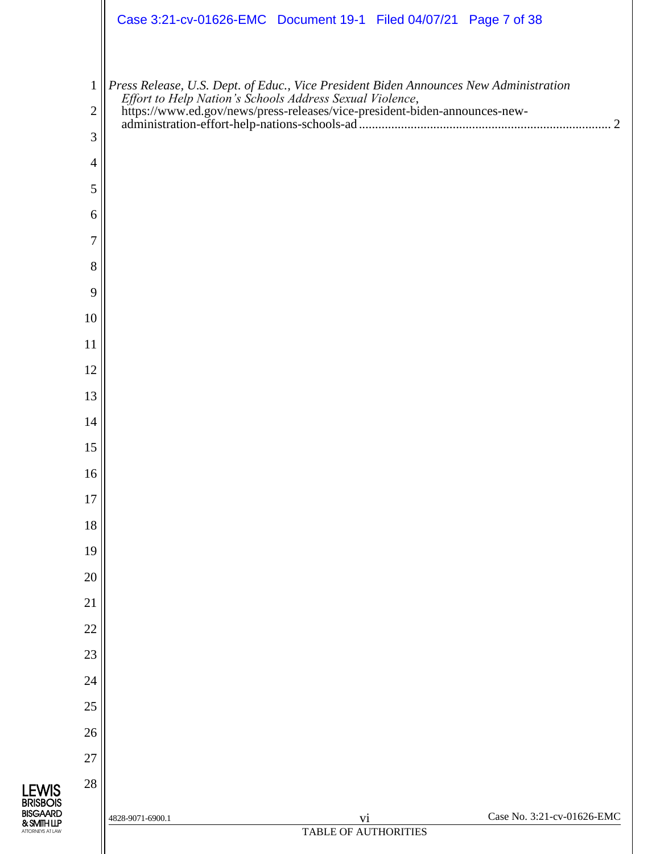|                | Case 3:21-cv-01626-EMC Document 19-1 Filed 04/07/21 Page 7 of 38                                                                                                                                                                        |
|----------------|-----------------------------------------------------------------------------------------------------------------------------------------------------------------------------------------------------------------------------------------|
| $\mathbf{1}$   | Press Release, U.S. Dept. of Educ., Vice President Biden Announces New Administration<br>Effort to Help Nation's Schools Address Sexual Violence,<br>https://www.ed.gov/news/press-releases/vice-president-biden-announces-new-<br>admi |
| $\mathbf{2}$   |                                                                                                                                                                                                                                         |
| 3              |                                                                                                                                                                                                                                         |
| $\overline{4}$ |                                                                                                                                                                                                                                         |
| 5              |                                                                                                                                                                                                                                         |
| 6              |                                                                                                                                                                                                                                         |
| 7              |                                                                                                                                                                                                                                         |
| 8              |                                                                                                                                                                                                                                         |
| 9              |                                                                                                                                                                                                                                         |
| 10             |                                                                                                                                                                                                                                         |
| 11             |                                                                                                                                                                                                                                         |
| 12<br>13       |                                                                                                                                                                                                                                         |
| 14             |                                                                                                                                                                                                                                         |
| 15             |                                                                                                                                                                                                                                         |
| 16             |                                                                                                                                                                                                                                         |
| 17             |                                                                                                                                                                                                                                         |
| 18             |                                                                                                                                                                                                                                         |
| 19             |                                                                                                                                                                                                                                         |
| 20             |                                                                                                                                                                                                                                         |
| 21             |                                                                                                                                                                                                                                         |
| 22             |                                                                                                                                                                                                                                         |
| 23             |                                                                                                                                                                                                                                         |
| 24             |                                                                                                                                                                                                                                         |
| 25             |                                                                                                                                                                                                                                         |
| 26             |                                                                                                                                                                                                                                         |
| 27             |                                                                                                                                                                                                                                         |
| 28             |                                                                                                                                                                                                                                         |
|                | Case No. 3:21-cv-01626-EMC<br>vi<br>4828-9071-6900.1                                                                                                                                                                                    |
|                | TABLE OF AUTHORITIES                                                                                                                                                                                                                    |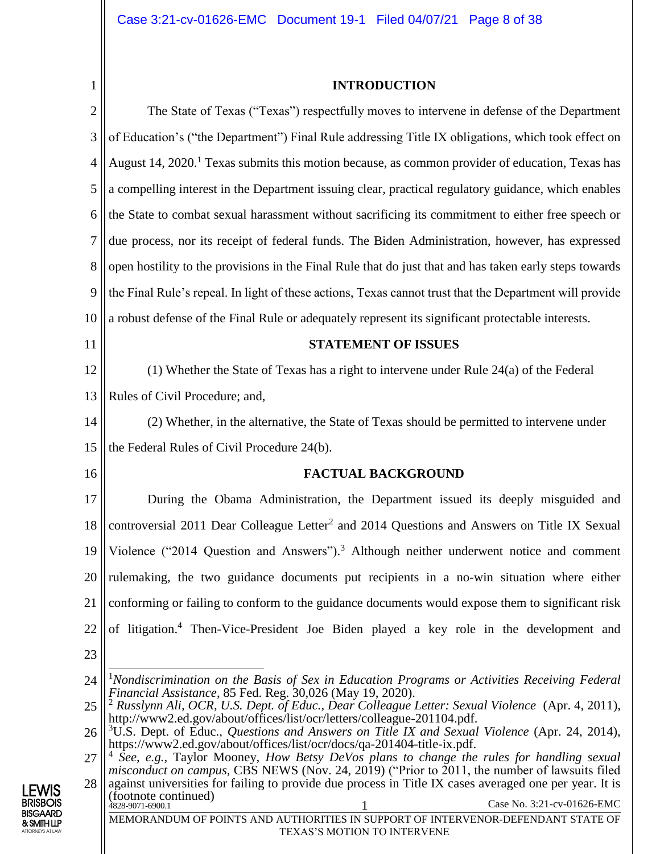<span id="page-7-0"></span>1

#### **INTRODUCTION**

<span id="page-7-1"></span>2 3 4 5 6 7 8 9 10 11 12 13 14 15 16 17 18 19 20 21 22 23 24 25 The State of Texas ("Texas") respectfully moves to intervene in defense of the Department of Education's ("the Department") Final Rule addressing Title IX obligations, which took effect on August 14, 2020.<sup>1</sup> Texas submits this motion because, as common provider of education, Texas has a compelling interest in the Department issuing clear, practical regulatory guidance, which enables the State to combat sexual harassment without sacrificing its commitment to either free speech or due process, nor its receipt of federal funds. The Biden Administration, however, has expressed open hostility to the provisions in the Final Rule that do just that and has taken early steps towards the Final Rule's repeal. In light of these actions, Texas cannot trust that the Department will provide a robust defense of the Final Rule or adequately represent its significant protectable interests. **STATEMENT OF ISSUES** (1) Whether the State of Texas has a right to intervene under Rule 24(a) of the Federal Rules of Civil Procedure; and, (2) Whether, in the alternative, the State of Texas should be permitted to intervene under the Federal Rules of Civil Procedure 24(b). **FACTUAL BACKGROUND** During the Obama Administration, the Department issued its deeply misguided and controversial 2011 Dear Colleague Letter<sup>2</sup> and 2014 Questions and Answers on Title IX Sexual Violence ("2014 Question and Answers"). <sup>3</sup> Although neither underwent notice and comment rulemaking, the two guidance documents put recipients in a no-win situation where either conforming or failing to conform to the guidance documents would expose them to significant risk of litigation.<sup>4</sup> Then-Vice-President Joe Biden played a key role in the development and  $\overline{\phantom{a}}$ <sup>1</sup>*Nondiscrimination on the Basis of Sex in Education Programs or Activities Receiving Federal Financial Assistance*, 85 Fed. Reg. 30,026 (May 19, 2020). <sup>2</sup> *Russlynn Ali, OCR, U.S. Dept. of Educ., Dear Colleague Letter: Sexual Violence* (Apr. 4, 2011), http://www2.ed.gov/about/offices/list/ocr/letters/colleague-201104.pdf. <sup>3</sup>U.S. Dept. of Educ., *Questions and Answers on Title IX and Sexual Violence* (Apr. 24, 2014),

27 4 *See*, *e.g.*, Taylor Mooney, *How Betsy DeVos plans to change the rules for handling sexual misconduct on campus*, CBS NEWS (Nov. 24, 2019) ("Prior to 2011, the number of lawsuits filed

28 4828-9071-6900.1 1 Case No. 3:21-cv-01626-EMC MEMORANDUM OF POINTS AND AUTHORITIES IN SUPPORT OF INTERVENOR-DEFENDANT STATE OF TEXAS'S MOTION TO INTERVENE against universities for failing to provide due process in Title IX cases averaged one per year. It is (footnote continued)



<span id="page-7-2"></span><sup>26</sup> https://www2.ed.gov/about/offices/list/ocr/docs/qa-201404-title-ix.pdf.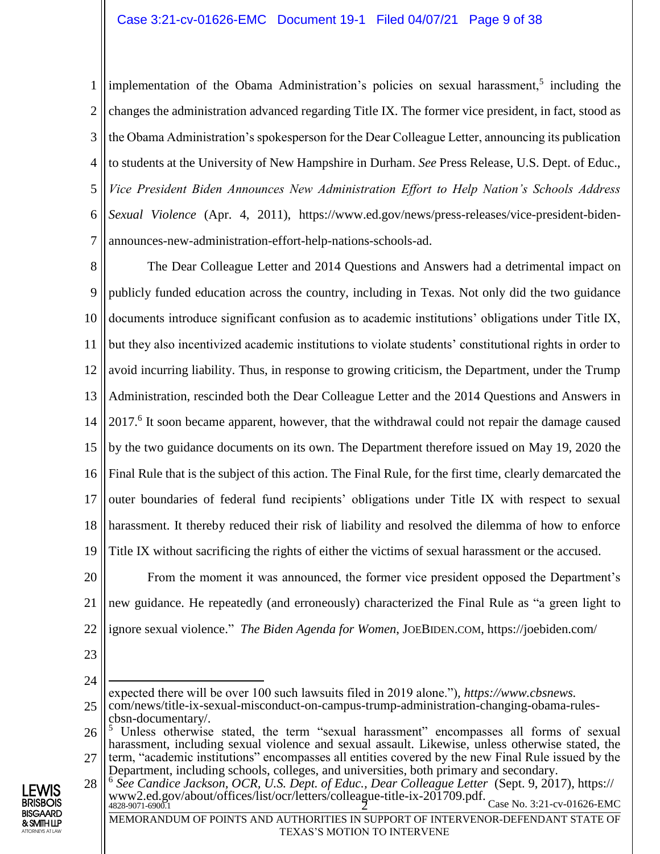1 2 3 4 5 6 7 implementation of the Obama Administration's policies on sexual harassment,<sup>5</sup> including the changes the administration advanced regarding Title IX. The former vice president, in fact, stood as the Obama Administration's spokesperson for the Dear Colleague Letter, announcing its publication to students at the University of New Hampshire in Durham. *See* Press Release, U.S. Dept. of Educ., *Vice President Biden Announces New Administration Effort to Help Nation's Schools Address Sexual Violence* (Apr. 4, 2011), https://www.ed.gov/news/press-releases/vice-president-bidenannounces-new-administration-effort-help-nations-schools-ad.

8 9 10 11 12 13 14 15 16 17 18 19 The Dear Colleague Letter and 2014 Questions and Answers had a detrimental impact on publicly funded education across the country, including in Texas. Not only did the two guidance documents introduce significant confusion as to academic institutions' obligations under Title IX, but they also incentivized academic institutions to violate students' constitutional rights in order to avoid incurring liability. Thus, in response to growing criticism, the Department, under the Trump Administration, rescinded both the Dear Colleague Letter and the 2014 Questions and Answers in 2017.<sup>6</sup> It soon became apparent, however, that the withdrawal could not repair the damage caused by the two guidance documents on its own. The Department therefore issued on May 19, 2020 the Final Rule that is the subject of this action. The Final Rule, for the first time, clearly demarcated the outer boundaries of federal fund recipients' obligations under Title IX with respect to sexual harassment. It thereby reduced their risk of liability and resolved the dilemma of how to enforce Title IX without sacrificing the rights of either the victims of sexual harassment or the accused.

20 21 22 From the moment it was announced, the former vice president opposed the Department's new guidance. He repeatedly (and erroneously) characterized the Final Rule as "a green light to ignore sexual violence." *The Biden Agenda for Women*, JOEBIDEN.COM, https://joebiden.com/

23

24

TEXAS'S MOTION TO INTERVENE



<sup>25</sup>  $\overline{a}$ expected there will be over 100 such lawsuits filed in 2019 alone.")*, https://www.cbsnews.* com/news/title-ix-sexual-misconduct-on-campus-trump-administration-changing-obama-rulescbsn-documentary/.

<sup>26</sup> <sup>5</sup> Unless otherwise stated, the term "sexual harassment" encompasses all forms of sexual harassment, including sexual violence and sexual assault. Likewise, unless otherwise stated, the

<sup>27</sup> term, "academic institutions" encompasses all entities covered by the new Final Rule issued by the Department, including schools, colleges, and universities, both primary and secondary.

<sup>28</sup>  $4828-9071-6900.1$  Case No. 3:21-cv-01626-EMC MEMORANDUM OF POINTS AND AUTHORITIES IN SUPPORT OF INTERVENOR-DEFENDANT STATE OF 6 *See Candice Jackson, OCR, U.S. Dept. of Educ., Dear Colleague Letter* (Sept. 9, 2017), https:// www2.ed.gov/about/offices/list/ocr/letters/colleague-title-ix-201709.pdf.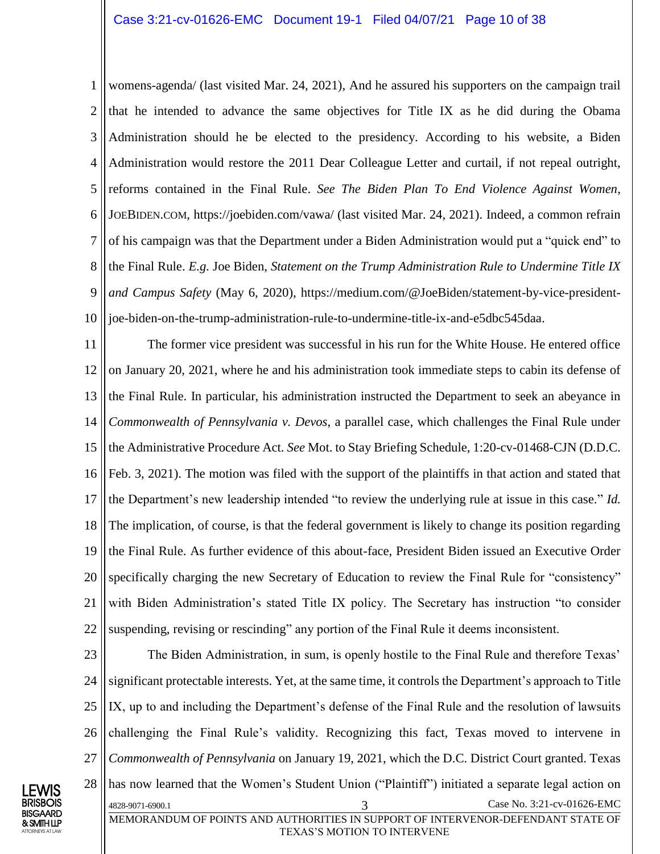1 2 3 4 5 6 7 8 9 10 womens-agenda/ (last visited Mar. 24, 2021), And he assured his supporters on the campaign trail that he intended to advance the same objectives for Title IX as he did during the Obama Administration should he be elected to the presidency. According to his website, a Biden Administration would restore the 2011 Dear Colleague Letter and curtail, if not repeal outright, reforms contained in the Final Rule. *See The Biden Plan To End Violence Against Women*, JOEBIDEN.COM, https://joebiden.com/vawa/ (last visited Mar. 24, 2021). Indeed, a common refrain of his campaign was that the Department under a Biden Administration would put a "quick end" to the Final Rule. *E.g.* Joe Biden, *Statement on the Trump Administration Rule to Undermine Title IX and Campus Safety* (May 6, 2020), https://medium.com/@JoeBiden/statement-by-vice-presidentjoe-biden-on-the-trump-administration-rule-to-undermine-title-ix-and-e5dbc545daa.

11 12 13 14 15 16 17 18 19 20 21 22 The former vice president was successful in his run for the White House. He entered office on January 20, 2021, where he and his administration took immediate steps to cabin its defense of the Final Rule. In particular, his administration instructed the Department to seek an abeyance in *Commonwealth of Pennsylvania v. Devos*, a parallel case, which challenges the Final Rule under the Administrative Procedure Act. *See* Mot. to Stay Briefing Schedule, 1:20-cv-01468-CJN (D.D.C. Feb. 3, 2021). The motion was filed with the support of the plaintiffs in that action and stated that the Department's new leadership intended "to review the underlying rule at issue in this case." *Id.*  The implication, of course, is that the federal government is likely to change its position regarding the Final Rule. As further evidence of this about-face, President Biden issued an Executive Order specifically charging the new Secretary of Education to review the Final Rule for "consistency" with Biden Administration's stated Title IX policy. The Secretary has instruction "to consider suspending, revising or rescinding" any portion of the Final Rule it deems inconsistent.

23 24 25 26 27 28 4828-9071-6900.1 3 Case No. 3:21-cv-01626-EMC MEMORANDUM OF POINTS AND AUTHORITIES IN SUPPORT OF INTERVENOR-DEFENDANT STATE OF The Biden Administration, in sum, is openly hostile to the Final Rule and therefore Texas' significant protectable interests. Yet, at the same time, it controls the Department's approach to Title IX, up to and including the Department's defense of the Final Rule and the resolution of lawsuits challenging the Final Rule's validity. Recognizing this fact, Texas moved to intervene in *Commonwealth of Pennsylvania* on January 19, 2021, which the D.C. District Court granted. Texas has now learned that the Women's Student Union ("Plaintiff") initiated a separate legal action on

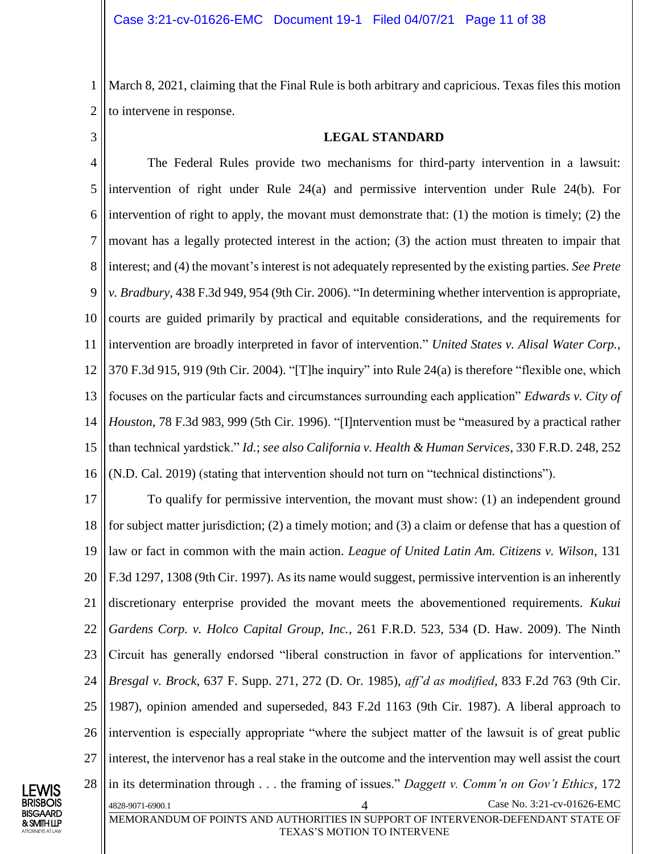1 2 March 8, 2021, claiming that the Final Rule is both arbitrary and capricious. Texas files this motion to intervene in response.

<span id="page-10-0"></span>3

#### **LEGAL STANDARD**

4 5 6 7 8 9 10 11 12 13 14 15 16 The Federal Rules provide two mechanisms for third-party intervention in a lawsuit: intervention of right under Rule 24(a) and permissive intervention under Rule 24(b). For intervention of right to apply, the movant must demonstrate that: (1) the motion is timely; (2) the movant has a legally protected interest in the action; (3) the action must threaten to impair that interest; and (4) the movant's interest is not adequately represented by the existing parties. *See Prete v. Bradbury*, 438 F.3d 949, 954 (9th Cir. 2006). "In determining whether intervention is appropriate, courts are guided primarily by practical and equitable considerations, and the requirements for intervention are broadly interpreted in favor of intervention." *United States v. Alisal Water Corp.*, 370 F.3d 915, 919 (9th Cir. 2004). "[T]he inquiry" into Rule 24(a) is therefore "flexible one, which focuses on the particular facts and circumstances surrounding each application" *Edwards v. City of Houston*, 78 F.3d 983, 999 (5th Cir. 1996). "[I]ntervention must be "measured by a practical rather than technical yardstick." *Id.*; *see also California v. Health & Human Services*, 330 F.R.D. 248, 252 (N.D. Cal. 2019) (stating that intervention should not turn on "technical distinctions").

17 18 19 20 21 22 23 24 25 26 27 28 4828-9071-6900.1 4 Case No. 3:21-cv-01626-EMC MEMORANDUM OF POINTS AND AUTHORITIES IN SUPPORT OF INTERVENOR-DEFENDANT STATE OF To qualify for permissive intervention, the movant must show: (1) an independent ground for subject matter jurisdiction; (2) a timely motion; and (3) a claim or defense that has a question of law or fact in common with the main action. *League of United Latin Am. Citizens v. Wilson*, 131 F.3d 1297, 1308 (9th Cir. 1997). As its name would suggest, permissive intervention is an inherently discretionary enterprise provided the movant meets the abovementioned requirements*. Kukui Gardens Corp. v. Holco Capital Group, Inc.*, 261 F.R.D. 523, 534 (D. Haw. 2009). The Ninth Circuit has generally endorsed "liberal construction in favor of applications for intervention." *Bresgal v. Brock*, 637 F. Supp. 271, 272 (D. Or. 1985), *aff'd as modified*, 833 F.2d 763 (9th Cir. 1987), opinion amended and superseded, 843 F.2d 1163 (9th Cir. 1987). A liberal approach to intervention is especially appropriate "where the subject matter of the lawsuit is of great public interest, the intervenor has a real stake in the outcome and the intervention may well assist the court in its determination through . . . the framing of issues." *Daggett v. Comm'n on Gov't Ethics*, 172



TEXAS'S MOTION TO INTERVENE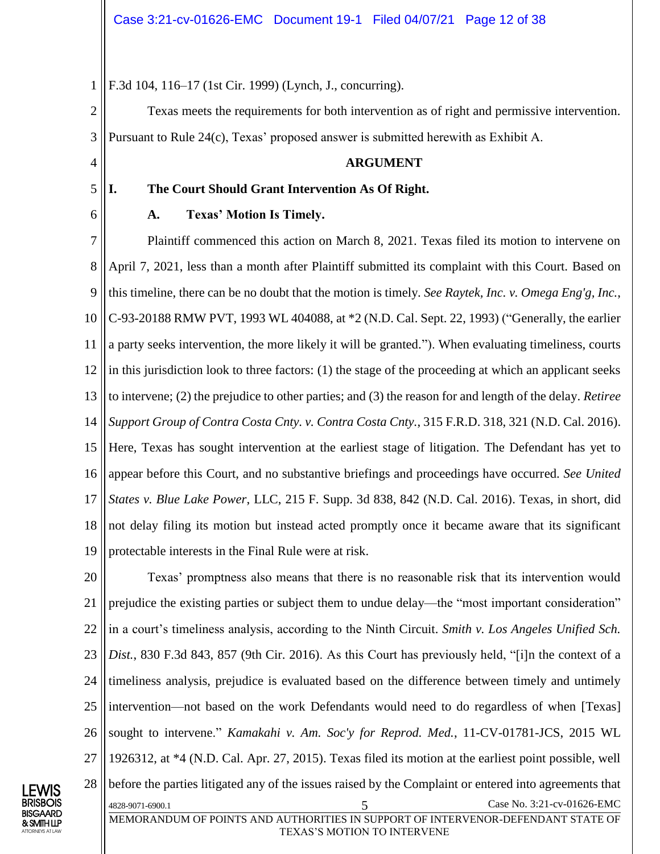1 F.3d 104, 116–17 (1st Cir. 1999) (Lynch, J., concurring).

2 3 Texas meets the requirements for both intervention as of right and permissive intervention. Pursuant to Rule 24(c), Texas' proposed answer is submitted herewith as Exhibit A.

#### **ARGUMENT**

#### **I. The Court Should Grant Intervention As Of Right.**

6

LEWIS BRISBOIS BISGAARD & SMITH LLP ATTORNEYS AT LAW

4

5

#### **A. Texas' Motion Is Timely.**

7 8 9 10 11 12 13 14 15 16 17 18 19 Plaintiff commenced this action on March 8, 2021. Texas filed its motion to intervene on April 7, 2021, less than a month after Plaintiff submitted its complaint with this Court. Based on this timeline, there can be no doubt that the motion is timely. *See Raytek, Inc. v. Omega Eng'g, Inc.*, C-93-20188 RMW PVT, 1993 WL 404088, at \*2 (N.D. Cal. Sept. 22, 1993) ("Generally, the earlier a party seeks intervention, the more likely it will be granted."). When evaluating timeliness, courts in this jurisdiction look to three factors: (1) the stage of the proceeding at which an applicant seeks to intervene; (2) the prejudice to other parties; and (3) the reason for and length of the delay. *Retiree Support Group of Contra Costa Cnty. v. Contra Costa Cnty.*, 315 F.R.D. 318, 321 (N.D. Cal. 2016). Here, Texas has sought intervention at the earliest stage of litigation. The Defendant has yet to appear before this Court, and no substantive briefings and proceedings have occurred. *See United States v. Blue Lake Power*, LLC, 215 F. Supp. 3d 838, 842 (N.D. Cal. 2016). Texas, in short, did not delay filing its motion but instead acted promptly once it became aware that its significant protectable interests in the Final Rule were at risk.

20 21 22 23 24 25 26 27 28 4828-9071-6900.1 5 Case No. 3:21-cv-01626-EMC MEMORANDUM OF POINTS AND AUTHORITIES IN SUPPORT OF INTERVENOR-DEFENDANT STATE OF Texas' promptness also means that there is no reasonable risk that its intervention would prejudice the existing parties or subject them to undue delay—the "most important consideration" in a court's timeliness analysis, according to the Ninth Circuit. *Smith v. Los Angeles Unified Sch. Dist.*, 830 F.3d 843, 857 (9th Cir. 2016). As this Court has previously held, "[i]n the context of a timeliness analysis, prejudice is evaluated based on the difference between timely and untimely intervention—not based on the work Defendants would need to do regardless of when [Texas] sought to intervene." *Kamakahi v. Am. Soc'y for Reprod. Med.*, 11-CV-01781-JCS, 2015 WL 1926312, at \*4 (N.D. Cal. Apr. 27, 2015). Texas filed its motion at the earliest point possible, well before the parties litigated any of the issues raised by the Complaint or entered into agreements that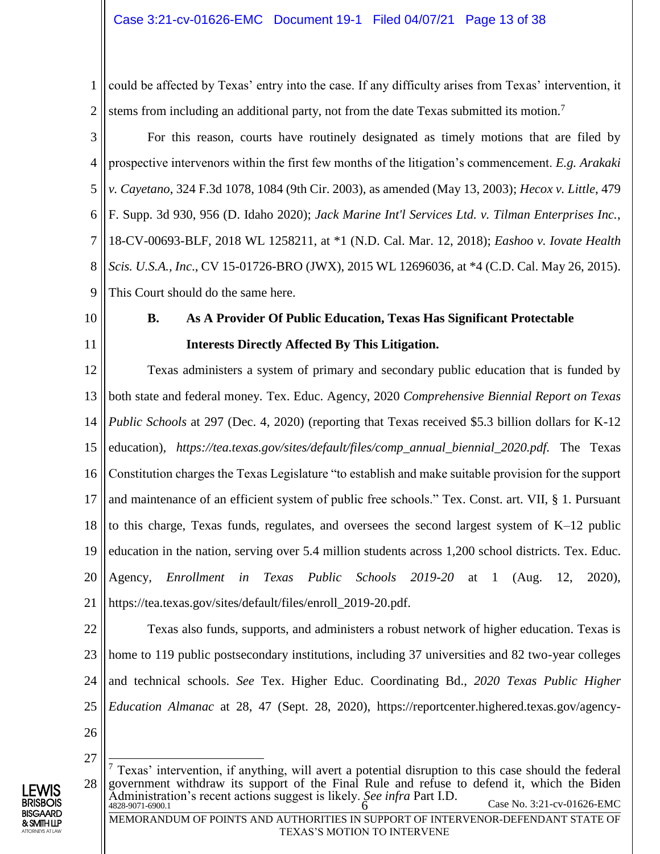1 2 could be affected by Texas' entry into the case. If any difficulty arises from Texas' intervention, it stems from including an additional party, not from the date Texas submitted its motion.<sup>7</sup>

3 4 5 6 7 8 9 For this reason, courts have routinely designated as timely motions that are filed by prospective intervenors within the first few months of the litigation's commencement. *E.g. Arakaki v. Cayetano*, 324 F.3d 1078, 1084 (9th Cir. 2003), as amended (May 13, 2003); *Hecox v. Little*, 479 F. Supp. 3d 930, 956 (D. Idaho 2020); *Jack Marine Int'l Services Ltd. v. Tilman Enterprises Inc.*, 18-CV-00693-BLF, 2018 WL 1258211, at \*1 (N.D. Cal. Mar. 12, 2018); *Eashoo v. Iovate Health Scis. U.S.A., Inc*., CV 15-01726-BRO (JWX), 2015 WL 12696036, at \*4 (C.D. Cal. May 26, 2015). This Court should do the same here.

<span id="page-12-0"></span>10

11

### **B. As A Provider Of Public Education, Texas Has Significant Protectable Interests Directly Affected By This Litigation.**

12 13 14 15 16 17 18 19 20 21 Texas administers a system of primary and secondary public education that is funded by both state and federal money. Tex. Educ. Agency, 2020 *Comprehensive Biennial Report on Texas Public Schools* at 297 (Dec. 4, 2020) (reporting that Texas received \$5.3 billion dollars for K-12 education)*, https://tea.texas.gov/sites/default/files/comp\_annual\_biennial\_2020.pdf.* The Texas Constitution charges the Texas Legislature "to establish and make suitable provision for the support and maintenance of an efficient system of public free schools." Tex. Const. art. VII, § 1. Pursuant to this charge, Texas funds, regulates, and oversees the second largest system of K–12 public education in the nation, serving over 5.4 million students across 1,200 school districts. Tex. Educ. Agency, *Enrollment in Texas Public Schools 2019-20* at 1 (Aug. 12, 2020), https://tea.texas.gov/sites/default/files/enroll\_2019-20.pdf.

- 22 23 24 25 26 Texas also funds, supports, and administers a robust network of higher education. Texas is home to 119 public postsecondary institutions, including 37 universities and 82 two-year colleges and technical schools. *See* Tex. Higher Educ. Coordinating Bd., *2020 Texas Public Higher Education Almanac* at 28, 47 (Sept. 28, 2020), https://reportcenter.highered.texas.gov/agency-
	-

LEWIS BRISBOIS BISGAARD & SMITH LLP ATTORNEYS AT LAW

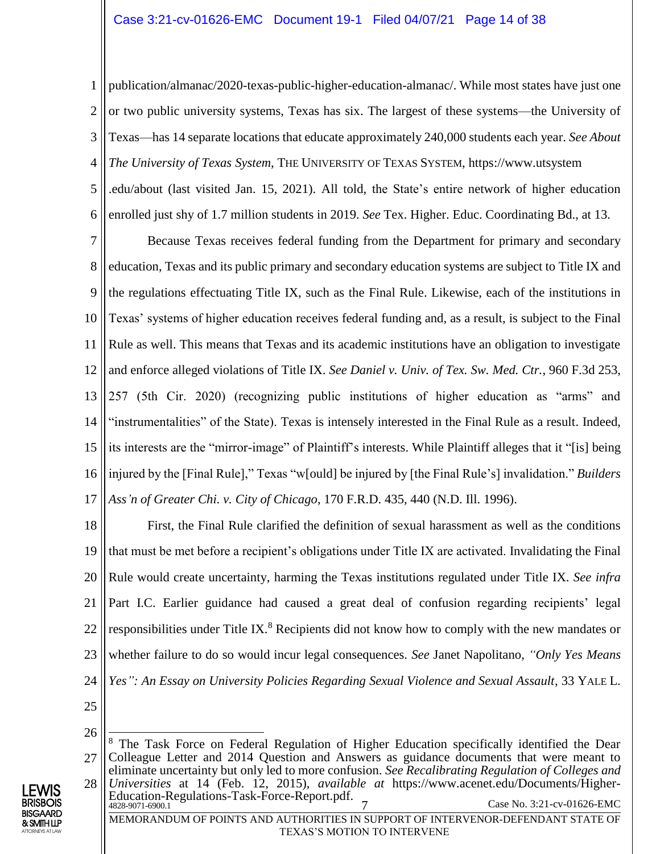1 2 3 4 5 6 publication/almanac/2020-texas-public-higher-education-almanac/. While most states have just one or two public university systems, Texas has six. The largest of these systems—the University of Texas—has 14 separate locations that educate approximately 240,000 students each year. *See About The University of Texas System*, THE UNIVERSITY OF TEXAS SYSTEM, https://www.utsystem .edu/about (last visited Jan. 15, 2021). All told, the State's entire network of higher education enrolled just shy of 1.7 million students in 2019. *See* Tex. Higher. Educ. Coordinating Bd., at 13.

7 8 9 10 11 12 13 14 15 16 17 Because Texas receives federal funding from the Department for primary and secondary education, Texas and its public primary and secondary education systems are subject to Title IX and the regulations effectuating Title IX, such as the Final Rule. Likewise, each of the institutions in Texas' systems of higher education receives federal funding and, as a result, is subject to the Final Rule as well. This means that Texas and its academic institutions have an obligation to investigate and enforce alleged violations of Title IX. *See Daniel v. Univ. of Tex. Sw. Med. Ctr.*, 960 F.3d 253, 257 (5th Cir. 2020) (recognizing public institutions of higher education as "arms" and "instrumentalities" of the State). Texas is intensely interested in the Final Rule as a result. Indeed, its interests are the "mirror-image" of Plaintiff's interests. While Plaintiff alleges that it "[is] being injured by the [Final Rule]," Texas "w[ould] be injured by [the Final Rule's] invalidation." *Builders Ass'n of Greater Chi. v. City of Chicago*, 170 F.R.D. 435, 440 (N.D. Ill. 1996).

18 19 20 21 22 23 24 First, the Final Rule clarified the definition of sexual harassment as well as the conditions that must be met before a recipient's obligations under Title IX are activated. Invalidating the Final Rule would create uncertainty, harming the Texas institutions regulated under Title IX. *See infra*  Part I.C. Earlier guidance had caused a great deal of confusion regarding recipients' legal responsibilities under Title IX.<sup>8</sup> Recipients did not know how to comply with the new mandates or whether failure to do so would incur legal consequences. *See* Janet Napolitano, *"Only Yes Means Yes": An Essay on University Policies Regarding Sexual Violence and Sexual Assault*, 33 YALE L.

<sup>28</sup>  $\frac{4828-9071-6900.1}{2}$  Case No. 3:21-cv-01626-EMC MEMORANDUM OF POINTS AND AUTHORITIES IN SUPPORT OF INTERVENOR-DEFENDANT STATE OF TEXAS'S MOTION TO INTERVENE Education-Regulations-Task-Force-Report.pdf.



<sup>26</sup> 27  $\overline{\phantom{a}}$ <sup>8</sup> The Task Force on Federal Regulation of Higher Education specifically identified the Dear Colleague Letter and 2014 Question and Answers as guidance documents that were meant to eliminate uncertainty but only led to more confusion. *See Recalibrating Regulation of Colleges and Universities* at 14 (Feb. 12, 2015), *available at* https://www.acenet.edu/Documents/Higher-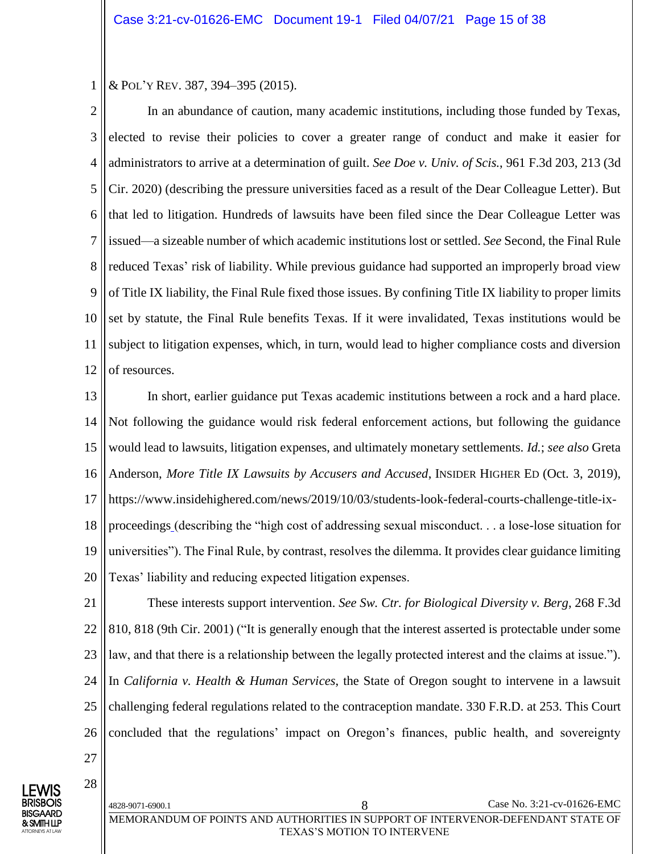1 & POL'Y REV. 387, 394–395 (2015).

2 3 4 5 6 7 8 9 10 11 12 In an abundance of caution, many academic institutions, including those funded by Texas, elected to revise their policies to cover a greater range of conduct and make it easier for administrators to arrive at a determination of guilt. *See Doe v. Univ. of Scis.*, 961 F.3d 203, 213 (3d Cir. 2020) (describing the pressure universities faced as a result of the Dear Colleague Letter). But that led to litigation. Hundreds of lawsuits have been filed since the Dear Colleague Letter was issued—a sizeable number of which academic institutions lost or settled. *See* Second, the Final Rule reduced Texas' risk of liability. While previous guidance had supported an improperly broad view of Title IX liability, the Final Rule fixed those issues. By confining Title IX liability to proper limits set by statute, the Final Rule benefits Texas. If it were invalidated, Texas institutions would be subject to litigation expenses, which, in turn, would lead to higher compliance costs and diversion of resources.

13 14 15 16 17 18 19 20 In short, earlier guidance put Texas academic institutions between a rock and a hard place. Not following the guidance would risk federal enforcement actions, but following the guidance would lead to lawsuits, litigation expenses, and ultimately monetary settlements. *Id.*; *see also* Greta Anderson, *More Title IX Lawsuits by Accusers and Accused*, INSIDER HIGHER ED (Oct. 3, 2019), https://www.insidehighered.com/news/2019/10/03/students-look-federal-courts-challenge-title-ixproceedings (describing the "high cost of addressing sexual misconduct. . . a lose-lose situation for universities"). The Final Rule, by contrast, resolves the dilemma. It provides clear guidance limiting Texas' liability and reducing expected litigation expenses.

21 22 23 24 25 26 These interests support intervention. *See Sw. Ctr. for Biological Diversity v. Berg*, 268 F.3d 810, 818 (9th Cir. 2001) ("It is generally enough that the interest asserted is protectable under some law, and that there is a relationship between the legally protected interest and the claims at issue."). In *California v. Health & Human Services*, the State of Oregon sought to intervene in a lawsuit challenging federal regulations related to the contraception mandate. 330 F.R.D. at 253. This Court concluded that the regulations' impact on Oregon's finances, public health, and sovereignty

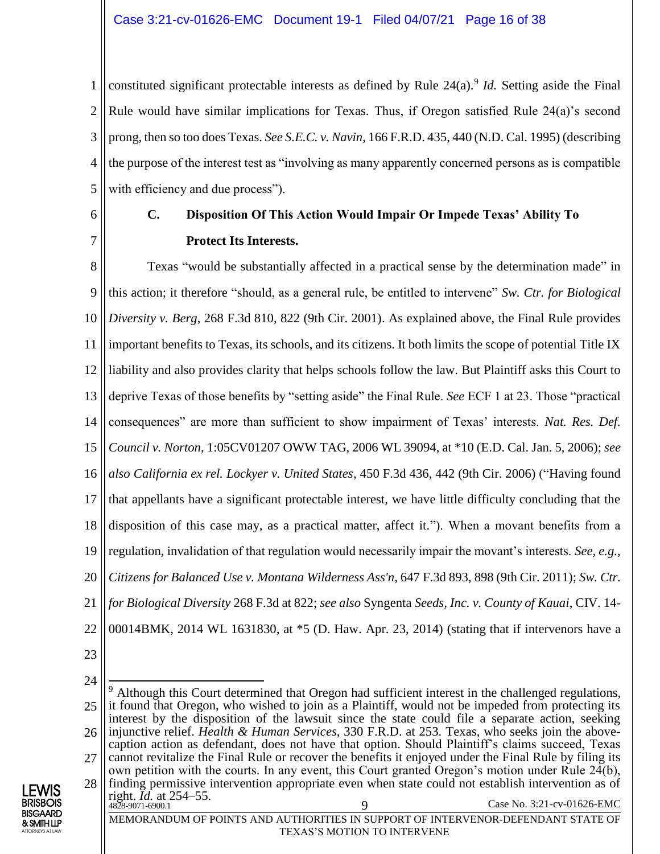1 2 3 4 5 constituted significant protectable interests as defined by Rule 24(a).<sup>9</sup> *Id*. Setting aside the Final Rule would have similar implications for Texas. Thus, if Oregon satisfied Rule 24(a)'s second prong, then so too does Texas. *See S.E.C. v. Navin*, 166 F.R.D. 435, 440 (N.D. Cal. 1995) (describing the purpose of the interest test as "involving as many apparently concerned persons as is compatible with efficiency and due process").

<span id="page-15-0"></span>6

7

### **C. Disposition Of This Action Would Impair Or Impede Texas' Ability To Protect Its Interests.**

8 9 10 11 12 13 14 15 16 17 18 19 20 21 22 Texas "would be substantially affected in a practical sense by the determination made" in this action; it therefore "should, as a general rule, be entitled to intervene" *Sw. Ctr. for Biological Diversity v. Berg*, 268 F.3d 810, 822 (9th Cir. 2001). As explained above, the Final Rule provides important benefits to Texas, its schools, and its citizens. It both limits the scope of potential Title IX liability and also provides clarity that helps schools follow the law. But Plaintiff asks this Court to deprive Texas of those benefits by "setting aside" the Final Rule. *See* ECF 1 at 23. Those "practical consequences" are more than sufficient to show impairment of Texas' interests. *Nat. Res. Def. Council v. Norton*, 1:05CV01207 OWW TAG, 2006 WL 39094, at \*10 (E.D. Cal. Jan. 5, 2006); *see also California ex rel. Lockyer v. United States*, 450 F.3d 436, 442 (9th Cir. 2006) ("Having found that appellants have a significant protectable interest, we have little difficulty concluding that the disposition of this case may, as a practical matter, affect it."). When a movant benefits from a regulation, invalidation of that regulation would necessarily impair the movant's interests. *See, e.g.*, *Citizens for Balanced Use v. Montana Wilderness Ass'n*, 647 F.3d 893, 898 (9th Cir. 2011); *Sw. Ctr. for Biological Diversity* 268 F.3d at 822; *see also* Syngenta *Seeds, Inc. v. County of Kauai*, CIV. 14- 00014BMK, 2014 WL 1631830, at \*5 (D. Haw. Apr. 23, 2014) (stating that if intervenors have a

23

ATTORNEYS AT LAW

<sup>24</sup> 25 26 27  $\overline{a}$ <sup>9</sup> Although this Court determined that Oregon had sufficient interest in the challenged regulations, it found that Oregon, who wished to join as a Plaintiff, would not be impeded from protecting its interest by the disposition of the lawsuit since the state could file a separate action, seeking injunctive relief. *Health & Human Services,* 330 F.R.D. at 253. Texas, who seeks join the abovecaption action as defendant, does not have that option. Should Plaintiff's claims succeed, Texas cannot revitalize the Final Rule or recover the benefits it enjoyed under the Final Rule by filing its own petition with the courts. In any event, this Court granted Oregon's motion under Rule 24(b), finding permissive intervention appropriate even when state could not establish intervention as of

<sup>28</sup> 4828-9071-6900.1 Case No. 3:21-cv-01626-EMC MEMORANDUM OF POINTS AND AUTHORITIES IN SUPPORT OF INTERVENOR-DEFENDANT STATE OF LEWIS BRISBOIS BISGAARD & SMITH LLP right. *Id.* at 254–55.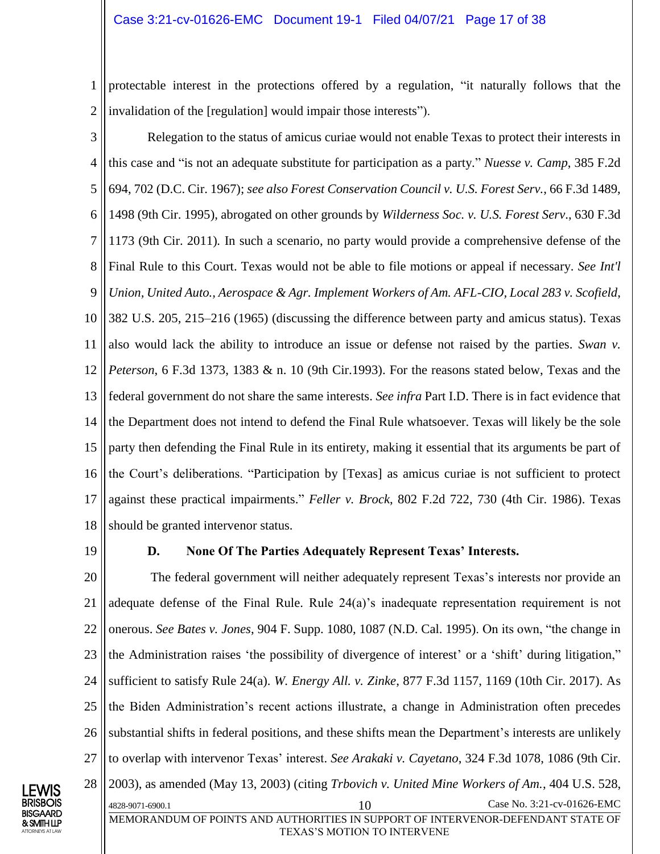1 2 protectable interest in the protections offered by a regulation, "it naturally follows that the invalidation of the [regulation] would impair those interests").

3 4 5 6 7 8 9 10 11 12 13 14 15 16 17 18 Relegation to the status of amicus curiae would not enable Texas to protect their interests in this case and "is not an adequate substitute for participation as a party." *Nuesse v. Camp*, 385 F.2d 694, 702 (D.C. Cir. 1967); *see also Forest Conservation Council v. U.S. Forest Serv.*, 66 F.3d 1489, 1498 (9th Cir. 1995), abrogated on other grounds by *Wilderness Soc. v. U.S. Forest Serv*., 630 F.3d 1173 (9th Cir. 2011)*.* In such a scenario, no party would provide a comprehensive defense of the Final Rule to this Court. Texas would not be able to file motions or appeal if necessary. *See Int'l Union, United Auto., Aerospace & Agr. Implement Workers of Am. AFL-CIO, Local 283 v. Scofield*, 382 U.S. 205, 215–216 (1965) (discussing the difference between party and amicus status). Texas also would lack the ability to introduce an issue or defense not raised by the parties. *Swan v. Peterson*, 6 F.3d 1373, 1383 & n. 10 (9th Cir.1993). For the reasons stated below, Texas and the federal government do not share the same interests. *See infra* Part I.D. There is in fact evidence that the Department does not intend to defend the Final Rule whatsoever. Texas will likely be the sole party then defending the Final Rule in its entirety, making it essential that its arguments be part of the Court's deliberations. "Participation by [Texas] as amicus curiae is not sufficient to protect against these practical impairments." *Feller v. Brock*, 802 F.2d 722, 730 (4th Cir. 1986). Texas should be granted intervenor status.

<span id="page-16-0"></span>19

#### **D. None Of The Parties Adequately Represent Texas' Interests.**

20 21 22 23 24 25 26 27 28 4828-9071-6900.1 10 Case No. 3:21-cv-01626-EMC MEMORANDUM OF POINTS AND AUTHORITIES IN SUPPORT OF INTERVENOR-DEFENDANT STATE OF TEXAS'S MOTION TO INTERVENE The federal government will neither adequately represent Texas's interests nor provide an adequate defense of the Final Rule. Rule 24(a)'s inadequate representation requirement is not onerous. *See Bates v. Jones*, 904 F. Supp. 1080, 1087 (N.D. Cal. 1995). On its own, "the change in the Administration raises 'the possibility of divergence of interest' or a 'shift' during litigation," sufficient to satisfy Rule 24(a). *W. Energy All. v. Zinke*, 877 F.3d 1157, 1169 (10th Cir. 2017). As the Biden Administration's recent actions illustrate, a change in Administration often precedes substantial shifts in federal positions, and these shifts mean the Department's interests are unlikely to overlap with intervenor Texas' interest. *See Arakaki v. Cayetano*, 324 F.3d 1078, 1086 (9th Cir. 2003), as amended (May 13, 2003) (citing *Trbovich v. United Mine Workers of Am.*, 404 U.S. 528,

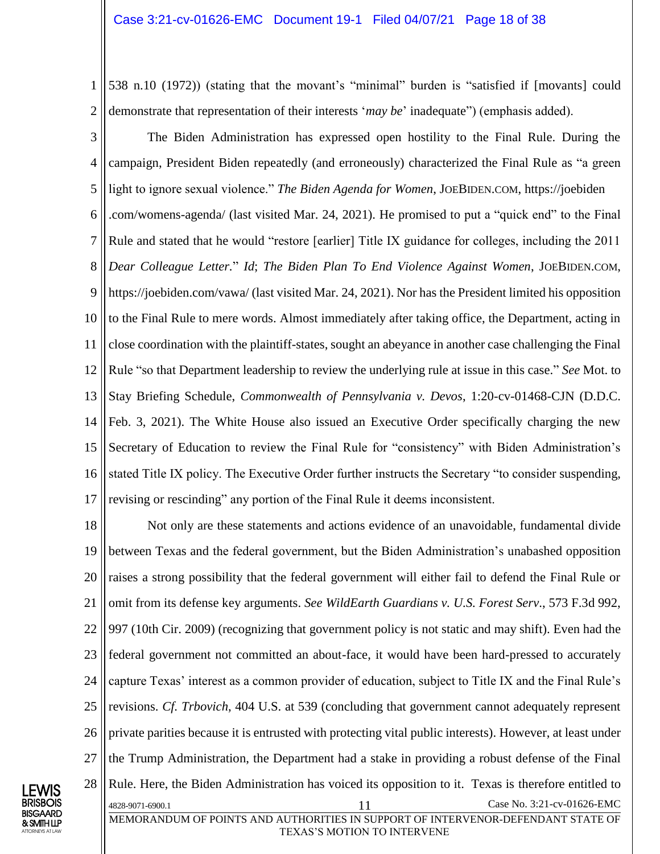1 2 538 n.10 (1972)) (stating that the movant's "minimal" burden is "satisfied if [movants] could demonstrate that representation of their interests '*may be*' inadequate") (emphasis added).

3 4 5 6 7 8 9 10 11 12 13 14 15 16 The Biden Administration has expressed open hostility to the Final Rule. During the campaign, President Biden repeatedly (and erroneously) characterized the Final Rule as "a green light to ignore sexual violence." *The Biden Agenda for Women*, JOEBIDEN.COM, https://joebiden .com/womens-agenda/ (last visited Mar. 24, 2021). He promised to put a "quick end" to the Final Rule and stated that he would "restore [earlier] Title IX guidance for colleges, including the 2011 *Dear Colleague Letter.*" *Id*; *The Biden Plan To End Violence Against Women*, JOEBIDEN.COM, https://joebiden.com/vawa/ (last visited Mar. 24, 2021). Nor has the President limited his opposition to the Final Rule to mere words. Almost immediately after taking office, the Department, acting in close coordination with the plaintiff-states, sought an abeyance in another case challenging the Final Rule "so that Department leadership to review the underlying rule at issue in this case." *See* Mot. to Stay Briefing Schedule, *Commonwealth of Pennsylvania v. Devos*, 1:20-cv-01468-CJN (D.D.C. Feb. 3, 2021). The White House also issued an Executive Order specifically charging the new Secretary of Education to review the Final Rule for "consistency" with Biden Administration's stated Title IX policy. The Executive Order further instructs the Secretary "to consider suspending,

18 19 20 21 22 23 24 25 26 27 28 4828-9071-6900.1 1 Case No. 3:21-cv-01626-EMC Not only are these statements and actions evidence of an unavoidable, fundamental divide between Texas and the federal government, but the Biden Administration's unabashed opposition raises a strong possibility that the federal government will either fail to defend the Final Rule or omit from its defense key arguments. *See WildEarth Guardians v. U.S. Forest Serv*., 573 F.3d 992, 997 (10th Cir. 2009) (recognizing that government policy is not static and may shift). Even had the federal government not committed an about-face, it would have been hard-pressed to accurately capture Texas' interest as a common provider of education, subject to Title IX and the Final Rule's revisions. *Cf. Trbovich*, 404 U.S. at 539 (concluding that government cannot adequately represent private parities because it is entrusted with protecting vital public interests). However, at least under the Trump Administration, the Department had a stake in providing a robust defense of the Final Rule. Here, the Biden Administration has voiced its opposition to it. Texas is therefore entitled to

revising or rescinding" any portion of the Final Rule it deems inconsistent.

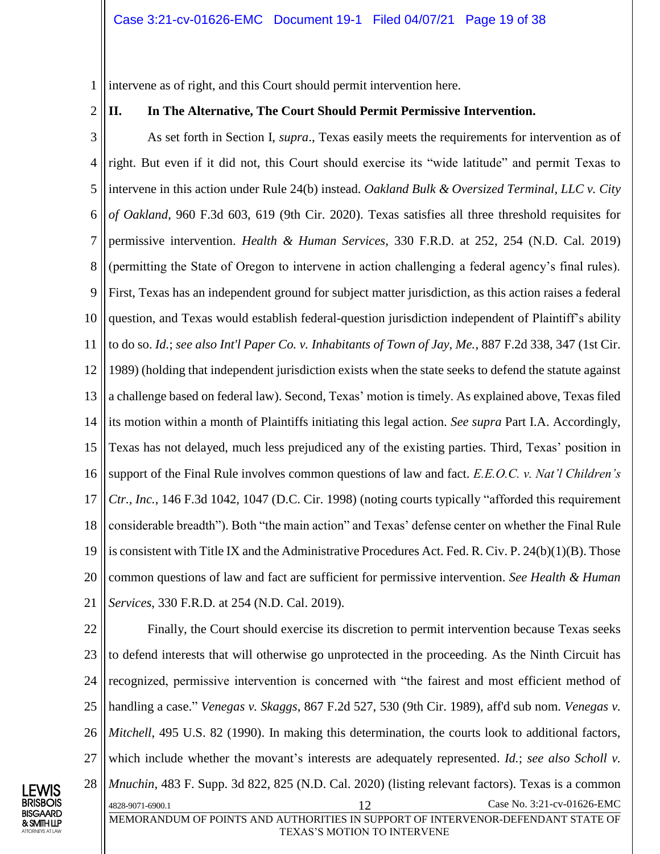1 intervene as of right, and this Court should permit intervention here.

2

#### <span id="page-18-0"></span>**II. In The Alternative, The Court Should Permit Permissive Intervention.**

3 4 5 6 7 8 9 10 11 12 13 14 15 16 17 18 19 20 21 As set forth in Section I, *supra*., Texas easily meets the requirements for intervention as of right. But even if it did not, this Court should exercise its "wide latitude" and permit Texas to intervene in this action under Rule 24(b) instead. *Oakland Bulk & Oversized Terminal, LLC v. City of Oakland*, 960 F.3d 603, 619 (9th Cir. 2020). Texas satisfies all three threshold requisites for permissive intervention. *Health & Human Services*, 330 F.R.D. at 252, 254 (N.D. Cal. 2019) (permitting the State of Oregon to intervene in action challenging a federal agency's final rules). First, Texas has an independent ground for subject matter jurisdiction, as this action raises a federal question, and Texas would establish federal-question jurisdiction independent of Plaintiff's ability to do so. *Id.*; *see also Int'l Paper Co. v. Inhabitants of Town of Jay, Me.*, 887 F.2d 338, 347 (1st Cir. 1989) (holding that independent jurisdiction exists when the state seeks to defend the statute against a challenge based on federal law). Second, Texas' motion is timely. As explained above, Texas filed its motion within a month of Plaintiffs initiating this legal action. *See supra* Part I.A. Accordingly, Texas has not delayed, much less prejudiced any of the existing parties. Third, Texas' position in support of the Final Rule involves common questions of law and fact. *E.E.O.C. v. Nat'l Children's Ctr., Inc.*, 146 F.3d 1042, 1047 (D.C. Cir. 1998) (noting courts typically "afforded this requirement considerable breadth"). Both "the main action" and Texas' defense center on whether the Final Rule is consistent with Title IX and the Administrative Procedures Act. Fed. R. Civ. P. 24(b)(1)(B). Those common questions of law and fact are sufficient for permissive intervention. *See Health & Human Services*, 330 F.R.D. at 254 (N.D. Cal. 2019).

22 23 24 25 26 27 28 4828-9071-6900.1 12 Case No. 3:21-cv-01626-EMC MEMORANDUM OF POINTS AND AUTHORITIES IN SUPPORT OF INTERVENOR-DEFENDANT STATE OF TEXAS'S MOTION TO INTERVENE Finally, the Court should exercise its discretion to permit intervention because Texas seeks to defend interests that will otherwise go unprotected in the proceeding. As the Ninth Circuit has recognized, permissive intervention is concerned with "the fairest and most efficient method of handling a case." *Venegas v. Skaggs*, 867 F.2d 527, 530 (9th Cir. 1989), aff'd sub nom. *Venegas v. Mitchell*, 495 U.S. 82 (1990). In making this determination, the courts look to additional factors, which include whether the movant's interests are adequately represented. *Id.*; *see also Scholl v. Mnuchin*, 483 F. Supp. 3d 822, 825 (N.D. Cal. 2020) (listing relevant factors). Texas is a common

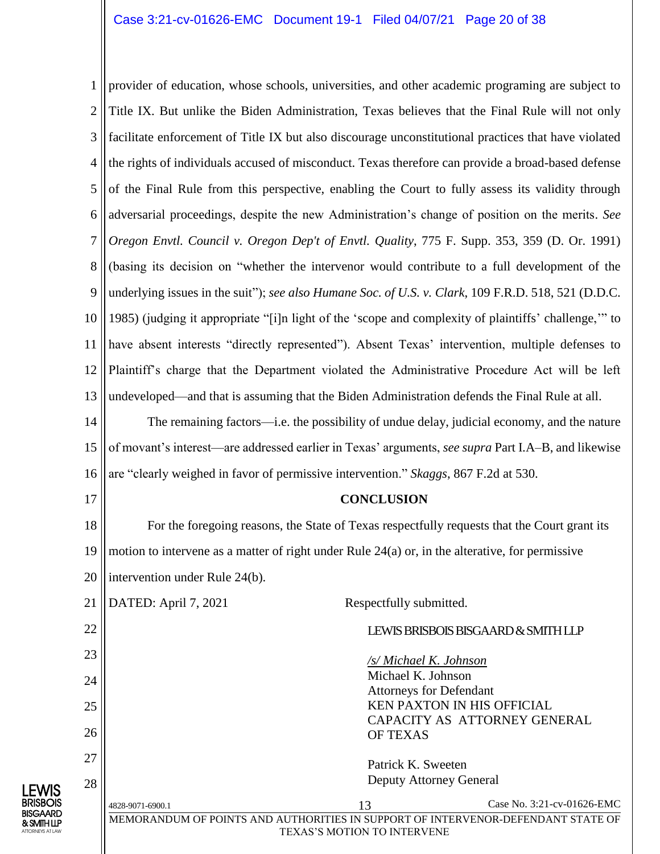1 2 3 4 5 6 7 8 9 10 11 12 13 14 15 16 17 18 provider of education, whose schools, universities, and other academic programing are subject to Title IX. But unlike the Biden Administration, Texas believes that the Final Rule will not only facilitate enforcement of Title IX but also discourage unconstitutional practices that have violated the rights of individuals accused of misconduct. Texas therefore can provide a broad-based defense of the Final Rule from this perspective, enabling the Court to fully assess its validity through adversarial proceedings, despite the new Administration's change of position on the merits. *See Oregon Envtl. Council v. Oregon Dep't of Envtl. Quality*, 775 F. Supp. 353, 359 (D. Or. 1991) (basing its decision on "whether the intervenor would contribute to a full development of the underlying issues in the suit"); *see also Humane Soc. of U.S. v. Clark*, 109 F.R.D. 518, 521 (D.D.C. 1985) (judging it appropriate "[i]n light of the 'scope and complexity of plaintiffs' challenge,'" to have absent interests "directly represented"). Absent Texas' intervention, multiple defenses to Plaintiff's charge that the Department violated the Administrative Procedure Act will be left undeveloped—and that is assuming that the Biden Administration defends the Final Rule at all. The remaining factors—i.e. the possibility of undue delay, judicial economy, and the nature of movant's interest—are addressed earlier in Texas' arguments, *see supra* Part I.A–B, and likewise are "clearly weighed in favor of permissive intervention." *Skaggs*, 867 F.2d at 530. **CONCLUSION** For the foregoing reasons, the State of Texas respectfully requests that the Court grant its

<span id="page-19-0"></span>19 20 motion to intervene as a matter of right under Rule 24(a) or, in the alterative, for permissive intervention under Rule 24(b).

| 21 | DATED: April 7, 2021<br>Respectfully submitted.                                  |                         |                                     |  |  |
|----|----------------------------------------------------------------------------------|-------------------------|-------------------------------------|--|--|
| 22 |                                                                                  |                         | LEWIS BRISBOIS BISGAARD & SMITH LLP |  |  |
| 23 |                                                                                  | /s/ Michael K. Johnson  |                                     |  |  |
| 24 | Michael K. Johnson<br><b>Attorneys for Defendant</b>                             |                         |                                     |  |  |
| 25 | <b>KEN PAXTON IN HIS OFFICIAL</b><br>CAPACITY AS ATTORNEY GENERAL                |                         |                                     |  |  |
| 26 |                                                                                  | <b>OF TEXAS</b>         |                                     |  |  |
| 27 |                                                                                  | Patrick K. Sweeten      |                                     |  |  |
| 28 |                                                                                  | Deputy Attorney General |                                     |  |  |
|    | 4828-9071-6900.1                                                                 | 13                      | Case No. 3:21-cv-01626-EMC          |  |  |
|    | MEMORANDUM OF POINTS AND AUTHORITIES IN SUPPORT OF INTERVENOR-DEFENDANT STATE OF |                         |                                     |  |  |
|    | TEXAS'S MOTION TO INTERVENE                                                      |                         |                                     |  |  |

LEWIS BRISBOIS BISGAARD & SMITH LLP ATTORNEYS AT LAW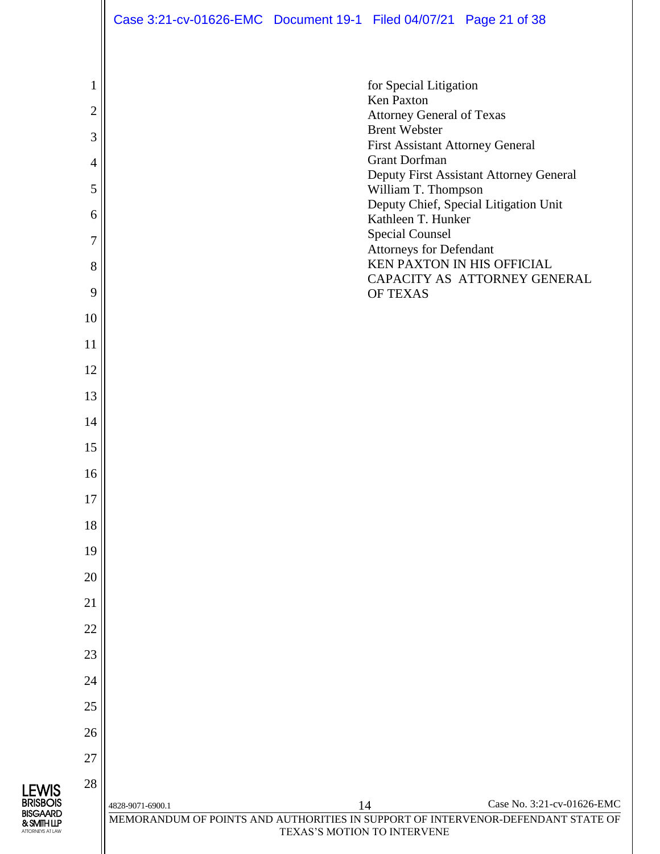|        | Case 3:21-cv-01626-EMC Document 19-1 Filed 04/07/21 Page 21 of 38 |                             |                                                                 |                                                                                                                |
|--------|-------------------------------------------------------------------|-----------------------------|-----------------------------------------------------------------|----------------------------------------------------------------------------------------------------------------|
|        |                                                                   |                             |                                                                 |                                                                                                                |
| 1      |                                                                   |                             | for Special Litigation<br><b>Ken Paxton</b>                     |                                                                                                                |
| 2      |                                                                   |                             | <b>Attorney General of Texas</b>                                |                                                                                                                |
| 3      |                                                                   |                             | <b>Brent Webster</b><br><b>First Assistant Attorney General</b> |                                                                                                                |
| 4      |                                                                   |                             | <b>Grant Dorfman</b>                                            | Deputy First Assistant Attorney General                                                                        |
| 5      |                                                                   |                             | William T. Thompson                                             | Deputy Chief, Special Litigation Unit                                                                          |
| 6      |                                                                   |                             | Kathleen T. Hunker                                              |                                                                                                                |
| 7      |                                                                   |                             | <b>Special Counsel</b><br><b>Attorneys for Defendant</b>        |                                                                                                                |
| 8<br>9 |                                                                   |                             | KEN PAXTON IN HIS OFFICIAL<br>OF TEXAS                          | CAPACITY AS ATTORNEY GENERAL                                                                                   |
| 10     |                                                                   |                             |                                                                 |                                                                                                                |
| 11     |                                                                   |                             |                                                                 |                                                                                                                |
| 12     |                                                                   |                             |                                                                 |                                                                                                                |
| 13     |                                                                   |                             |                                                                 |                                                                                                                |
| 14     |                                                                   |                             |                                                                 |                                                                                                                |
| 15     |                                                                   |                             |                                                                 |                                                                                                                |
| 16     |                                                                   |                             |                                                                 |                                                                                                                |
| 17     |                                                                   |                             |                                                                 |                                                                                                                |
| 18     |                                                                   |                             |                                                                 |                                                                                                                |
| 19     |                                                                   |                             |                                                                 |                                                                                                                |
| 20     |                                                                   |                             |                                                                 |                                                                                                                |
| 21     |                                                                   |                             |                                                                 |                                                                                                                |
| 22     |                                                                   |                             |                                                                 |                                                                                                                |
| 23     |                                                                   |                             |                                                                 |                                                                                                                |
| 24     |                                                                   |                             |                                                                 |                                                                                                                |
| 25     |                                                                   |                             |                                                                 |                                                                                                                |
| 26     |                                                                   |                             |                                                                 |                                                                                                                |
| 27     |                                                                   |                             |                                                                 |                                                                                                                |
| 28     |                                                                   |                             |                                                                 |                                                                                                                |
|        | 4828-9071-6900.1                                                  | 14                          |                                                                 | Case No. 3:21-cv-01626-EMC<br>MEMORANDUM OF POINTS AND AUTHORITIES IN SUPPORT OF INTERVENOR-DEFENDANT STATE OF |
|        |                                                                   | TEXAS'S MOTION TO INTERVENE |                                                                 |                                                                                                                |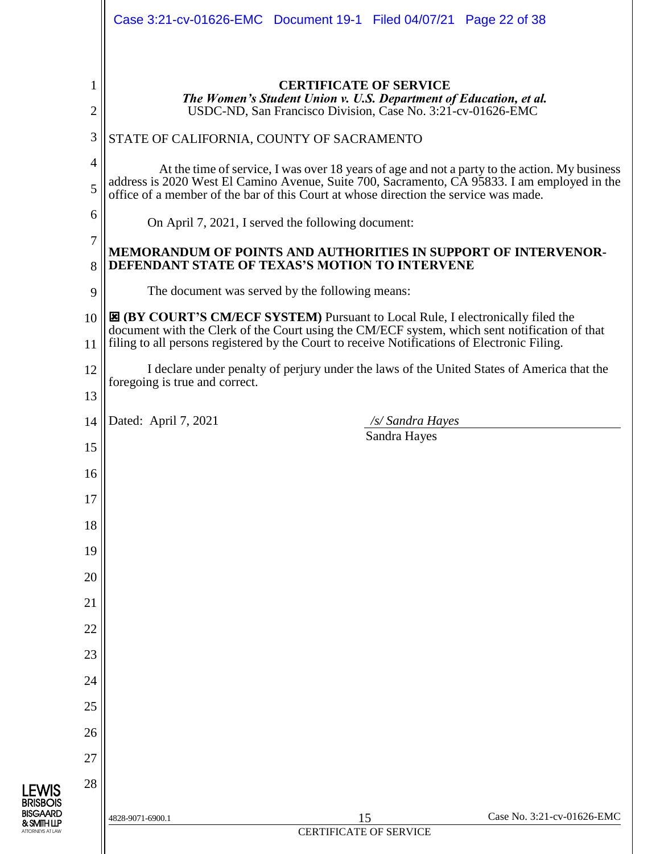|                     | Case 3:21-cv-01626-EMC  Document 19-1  Filed 04/07/21  Page 22 of 38                                                                                                                                                                                                                    |  |  |  |  |
|---------------------|-----------------------------------------------------------------------------------------------------------------------------------------------------------------------------------------------------------------------------------------------------------------------------------------|--|--|--|--|
|                     |                                                                                                                                                                                                                                                                                         |  |  |  |  |
| 1<br>$\overline{2}$ | <b>CERTIFICATE OF SERVICE</b><br>The Women's Student Union v. U.S. Department of Education, et al.<br>USDC-ND, San Francisco Division, Case No. 3:21-cv-01626-EMC                                                                                                                       |  |  |  |  |
| 3                   | STATE OF CALIFORNIA, COUNTY OF SACRAMENTO                                                                                                                                                                                                                                               |  |  |  |  |
| $\overline{4}$      | At the time of service, I was over 18 years of age and not a party to the action. My business                                                                                                                                                                                           |  |  |  |  |
| 5                   | address is 2020 West El Camino Avenue, Suite 700, Sacramento, CA 95833. I am employed in the<br>office of a member of the bar of this Court at whose direction the service was made.                                                                                                    |  |  |  |  |
| 6                   | On April 7, 2021, I served the following document:                                                                                                                                                                                                                                      |  |  |  |  |
| 7<br>8              | MEMORANDUM OF POINTS AND AUTHORITIES IN SUPPORT OF INTERVENOR-<br>DEFENDANT STATE OF TEXAS'S MOTION TO INTERVENE                                                                                                                                                                        |  |  |  |  |
| 9                   | The document was served by the following means:                                                                                                                                                                                                                                         |  |  |  |  |
| 10<br>11            | <b>E (BY COURT'S CM/ECF SYSTEM)</b> Pursuant to Local Rule, I electronically filed the<br>document with the Clerk of the Court using the CM/ECF system, which sent notification of that<br>filing to all persons registered by the Court to receive Notifications of Electronic Filing. |  |  |  |  |
| 12                  | I declare under penalty of perjury under the laws of the United States of America that the<br>foregoing is true and correct.                                                                                                                                                            |  |  |  |  |
| 13                  | Dated: April 7, 2021<br>/s/ Sandra Hayes                                                                                                                                                                                                                                                |  |  |  |  |
| 14<br>15            | Sandra Hayes                                                                                                                                                                                                                                                                            |  |  |  |  |
| 16                  |                                                                                                                                                                                                                                                                                         |  |  |  |  |
| 17                  |                                                                                                                                                                                                                                                                                         |  |  |  |  |
| 18                  |                                                                                                                                                                                                                                                                                         |  |  |  |  |
| 19                  |                                                                                                                                                                                                                                                                                         |  |  |  |  |
| 20                  |                                                                                                                                                                                                                                                                                         |  |  |  |  |
| 21                  |                                                                                                                                                                                                                                                                                         |  |  |  |  |
| 22                  |                                                                                                                                                                                                                                                                                         |  |  |  |  |
| 23                  |                                                                                                                                                                                                                                                                                         |  |  |  |  |
| 24                  |                                                                                                                                                                                                                                                                                         |  |  |  |  |
| 25                  |                                                                                                                                                                                                                                                                                         |  |  |  |  |
| 26                  |                                                                                                                                                                                                                                                                                         |  |  |  |  |
| 27                  |                                                                                                                                                                                                                                                                                         |  |  |  |  |
| 28                  |                                                                                                                                                                                                                                                                                         |  |  |  |  |
|                     | Case No. 3:21-cv-01626-EMC<br>15<br>4828-9071-6900.1                                                                                                                                                                                                                                    |  |  |  |  |
|                     | <b>CERTIFICATE OF SERVICE</b>                                                                                                                                                                                                                                                           |  |  |  |  |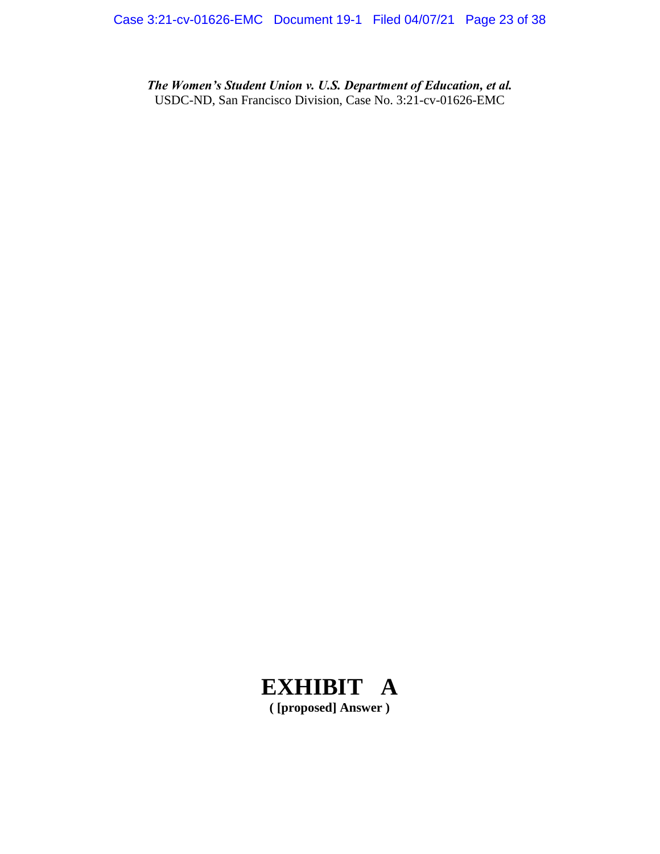*The Women's Student Union v. U.S. Department of Education, et al.* USDC-ND, San Francisco Division, Case No. 3:21-cv-01626-EMC

# **EXHIBIT A**

**( [proposed] Answer )**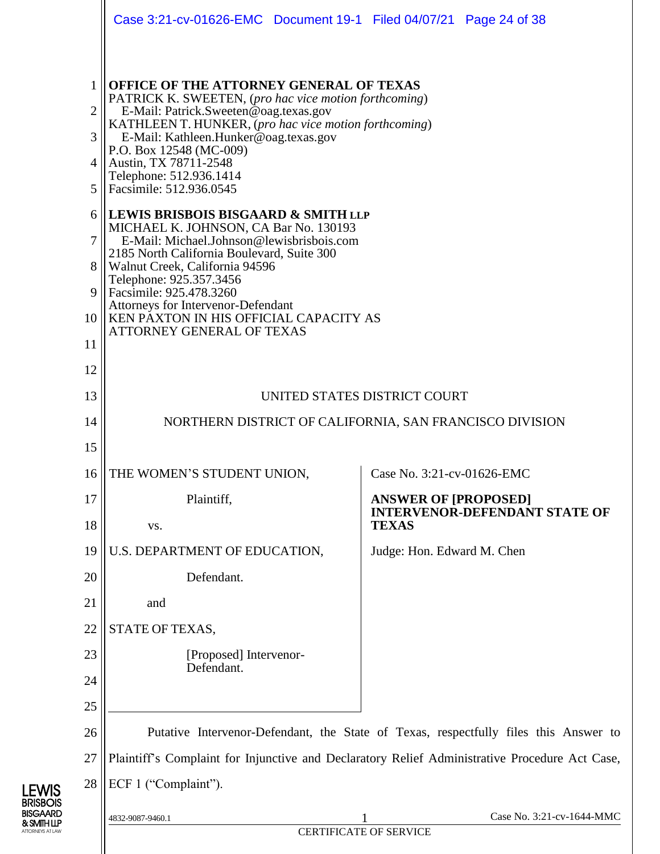|                                    | Case 3:21-cv-01626-EMC  Document 19-1  Filed 04/07/21  Page 24 of 38                                                                                                                                                                                                                                                                                                         |                                                                                                |  |  |  |
|------------------------------------|------------------------------------------------------------------------------------------------------------------------------------------------------------------------------------------------------------------------------------------------------------------------------------------------------------------------------------------------------------------------------|------------------------------------------------------------------------------------------------|--|--|--|
| 1<br>$\overline{2}$<br>3<br>4<br>5 | OFFICE OF THE ATTORNEY GENERAL OF TEXAS<br>PATRICK K. SWEETEN, (pro hac vice motion forthcoming)<br>E-Mail: Patrick.Sweeten@oag.texas.gov<br>KATHLEEN T. HUNKER, (pro hac vice motion forthcoming)<br>E-Mail: Kathleen.Hunker@oag.texas.gov<br>P.O. Box 12548 (MC-009)<br>Austin, TX 78711-2548<br>Telephone: 512.936.1414<br>Facsimile: 512.936.0545                        |                                                                                                |  |  |  |
| 6<br>7<br>8<br>9<br>10<br>11<br>12 | LEWIS BRISBOIS BISGAARD & SMITH LLP<br>MICHAEL K. JOHNSON, CA Bar No. 130193<br>E-Mail: Michael.Johnson@lewisbrisbois.com<br>2185 North California Boulevard, Suite 300<br>Walnut Creek, California 94596<br>Telephone: 925.357.3456<br>Facsimile: 925.478.3260<br>Attorneys for Intervenor-Defendant<br>KEN PAXTON IN HIS OFFICIAL CAPACITY AS<br>ATTORNEY GENERAL OF TEXAS |                                                                                                |  |  |  |
| 13                                 | UNITED STATES DISTRICT COURT                                                                                                                                                                                                                                                                                                                                                 |                                                                                                |  |  |  |
| 14                                 |                                                                                                                                                                                                                                                                                                                                                                              | NORTHERN DISTRICT OF CALIFORNIA, SAN FRANCISCO DIVISION                                        |  |  |  |
| 15                                 |                                                                                                                                                                                                                                                                                                                                                                              |                                                                                                |  |  |  |
| 16                                 | THE WOMEN'S STUDENT UNION,                                                                                                                                                                                                                                                                                                                                                   | Case No. 3:21-cv-01626-EMC                                                                     |  |  |  |
| 17                                 | Plaintiff,                                                                                                                                                                                                                                                                                                                                                                   | <b>ANSWER OF [PROPOSED]</b>                                                                    |  |  |  |
| 18                                 | VS.                                                                                                                                                                                                                                                                                                                                                                          | <b>INTERVENOR-DEFENDANT STATE OF</b><br><b>TEXAS</b>                                           |  |  |  |
| 19                                 | U.S. DEPARTMENT OF EDUCATION,                                                                                                                                                                                                                                                                                                                                                | Judge: Hon. Edward M. Chen                                                                     |  |  |  |
| 20                                 | Defendant.                                                                                                                                                                                                                                                                                                                                                                   |                                                                                                |  |  |  |
| 21                                 | and                                                                                                                                                                                                                                                                                                                                                                          |                                                                                                |  |  |  |
| 22                                 | STATE OF TEXAS,                                                                                                                                                                                                                                                                                                                                                              |                                                                                                |  |  |  |
| 23                                 | [Proposed] Intervenor-<br>Defendant.                                                                                                                                                                                                                                                                                                                                         |                                                                                                |  |  |  |
| 24                                 |                                                                                                                                                                                                                                                                                                                                                                              |                                                                                                |  |  |  |
| 25                                 |                                                                                                                                                                                                                                                                                                                                                                              |                                                                                                |  |  |  |
| 26                                 |                                                                                                                                                                                                                                                                                                                                                                              | Putative Intervenor-Defendant, the State of Texas, respectfully files this Answer to           |  |  |  |
| 27                                 |                                                                                                                                                                                                                                                                                                                                                                              | Plaintiff's Complaint for Injunctive and Declaratory Relief Administrative Procedure Act Case, |  |  |  |
| 28                                 | ECF 1 ("Complaint").                                                                                                                                                                                                                                                                                                                                                         |                                                                                                |  |  |  |
|                                    | 4832-9087-9460.1                                                                                                                                                                                                                                                                                                                                                             | Case No. 3:21-cv-1644-MMC                                                                      |  |  |  |
|                                    |                                                                                                                                                                                                                                                                                                                                                                              | <b>CERTIFICATE OF SERVICE</b>                                                                  |  |  |  |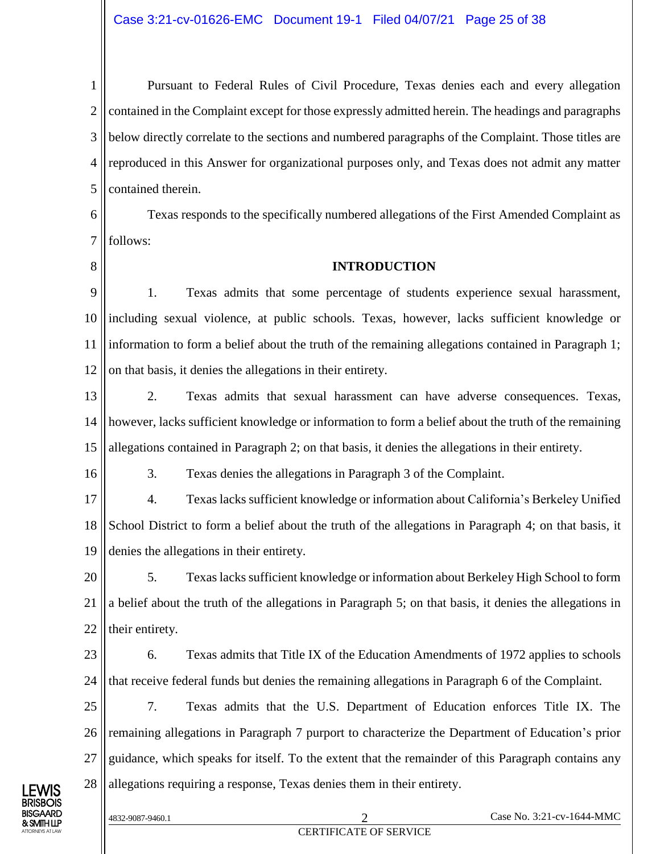1 2 3 4 5 Pursuant to Federal Rules of Civil Procedure, Texas denies each and every allegation contained in the Complaint except for those expressly admitted herein. The headings and paragraphs below directly correlate to the sections and numbered paragraphs of the Complaint. Those titles are reproduced in this Answer for organizational purposes only, and Texas does not admit any matter contained therein.

6 7 Texas responds to the specifically numbered allegations of the First Amended Complaint as follows:

8

16

#### **INTRODUCTION**

9 10 11 12 1. Texas admits that some percentage of students experience sexual harassment, including sexual violence, at public schools. Texas, however, lacks sufficient knowledge or information to form a belief about the truth of the remaining allegations contained in Paragraph 1; on that basis, it denies the allegations in their entirety.

13 14 15 2. Texas admits that sexual harassment can have adverse consequences. Texas, however, lacks sufficient knowledge or information to form a belief about the truth of the remaining allegations contained in Paragraph 2; on that basis, it denies the allegations in their entirety.

3. Texas denies the allegations in Paragraph 3 of the Complaint.

17 18 19 4. Texas lacks sufficient knowledge or information about California's Berkeley Unified School District to form a belief about the truth of the allegations in Paragraph 4; on that basis, it denies the allegations in their entirety.

20 21 22 5. Texas lacks sufficient knowledge or information about Berkeley High School to form a belief about the truth of the allegations in Paragraph 5; on that basis, it denies the allegations in their entirety.

23 24 6. Texas admits that Title IX of the Education Amendments of 1972 applies to schools that receive federal funds but denies the remaining allegations in Paragraph 6 of the Complaint.

25 26 27 28 7. Texas admits that the U.S. Department of Education enforces Title IX. The remaining allegations in Paragraph 7 purport to characterize the Department of Education's prior guidance, which speaks for itself. To the extent that the remainder of this Paragraph contains any allegations requiring a response, Texas denies them in their entirety.

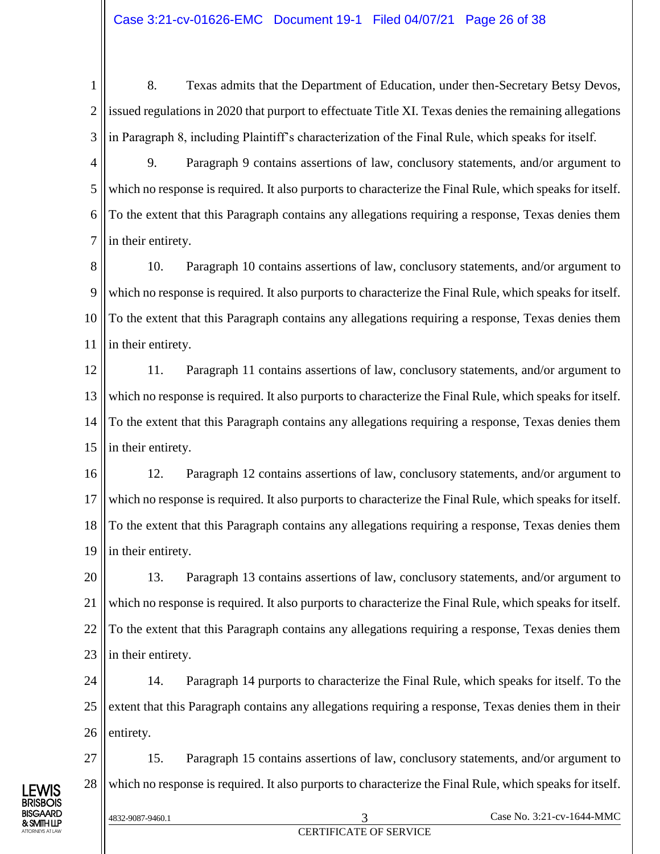1 2 3 8. Texas admits that the Department of Education, under then-Secretary Betsy Devos, issued regulations in 2020 that purport to effectuate Title XI. Texas denies the remaining allegations in Paragraph 8, including Plaintiff's characterization of the Final Rule, which speaks for itself.

4 5 6 7 9. Paragraph 9 contains assertions of law, conclusory statements, and/or argument to which no response is required. It also purports to characterize the Final Rule, which speaks for itself. To the extent that this Paragraph contains any allegations requiring a response, Texas denies them in their entirety.

8 9 10 11 10. Paragraph 10 contains assertions of law, conclusory statements, and/or argument to which no response is required. It also purports to characterize the Final Rule, which speaks for itself. To the extent that this Paragraph contains any allegations requiring a response, Texas denies them in their entirety.

12 13 14 15 11. Paragraph 11 contains assertions of law, conclusory statements, and/or argument to which no response is required. It also purports to characterize the Final Rule, which speaks for itself. To the extent that this Paragraph contains any allegations requiring a response, Texas denies them in their entirety.

16 17 18 19 12. Paragraph 12 contains assertions of law, conclusory statements, and/or argument to which no response is required. It also purports to characterize the Final Rule, which speaks for itself. To the extent that this Paragraph contains any allegations requiring a response, Texas denies them in their entirety.

20 21 22 23 13. Paragraph 13 contains assertions of law, conclusory statements, and/or argument to which no response is required. It also purports to characterize the Final Rule, which speaks for itself. To the extent that this Paragraph contains any allegations requiring a response, Texas denies them in their entirety.

24 25 26 14. Paragraph 14 purports to characterize the Final Rule, which speaks for itself. To the extent that this Paragraph contains any allegations requiring a response, Texas denies them in their entirety.

27 28 15. Paragraph 15 contains assertions of law, conclusory statements, and/or argument to which no response is required. It also purports to characterize the Final Rule, which speaks for itself.

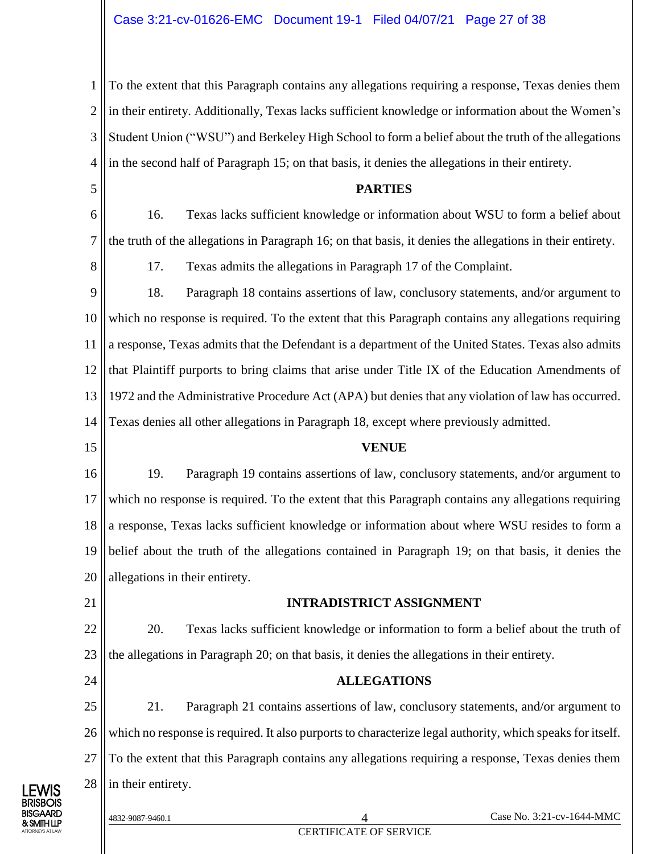1 2 3 4 To the extent that this Paragraph contains any allegations requiring a response, Texas denies them in their entirety. Additionally, Texas lacks sufficient knowledge or information about the Women's Student Union ("WSU") and Berkeley High School to form a belief about the truth of the allegations in the second half of Paragraph 15; on that basis, it denies the allegations in their entirety.

#### **PARTIES**

6 7 16. Texas lacks sufficient knowledge or information about WSU to form a belief about the truth of the allegations in Paragraph 16; on that basis, it denies the allegations in their entirety.

8

5

17. Texas admits the allegations in Paragraph 17 of the Complaint.

9 10 11 12 13 14 18. Paragraph 18 contains assertions of law, conclusory statements, and/or argument to which no response is required. To the extent that this Paragraph contains any allegations requiring a response, Texas admits that the Defendant is a department of the United States. Texas also admits that Plaintiff purports to bring claims that arise under Title IX of the Education Amendments of 1972 and the Administrative Procedure Act (APA) but denies that any violation of law has occurred. Texas denies all other allegations in Paragraph 18, except where previously admitted.

15

#### **VENUE**

16 17 18 19 20 19. Paragraph 19 contains assertions of law, conclusory statements, and/or argument to which no response is required. To the extent that this Paragraph contains any allegations requiring a response, Texas lacks sufficient knowledge or information about where WSU resides to form a belief about the truth of the allegations contained in Paragraph 19; on that basis, it denies the allegations in their entirety.

21

#### **INTRADISTRICT ASSIGNMENT**

22 23 20. Texas lacks sufficient knowledge or information to form a belief about the truth of the allegations in Paragraph 20; on that basis, it denies the allegations in their entirety.

24

#### **ALLEGATIONS**

25 26 27 28 21. Paragraph 21 contains assertions of law, conclusory statements, and/or argument to which no response is required. It also purports to characterize legal authority, which speaks for itself. To the extent that this Paragraph contains any allegations requiring a response, Texas denies them in their entirety.

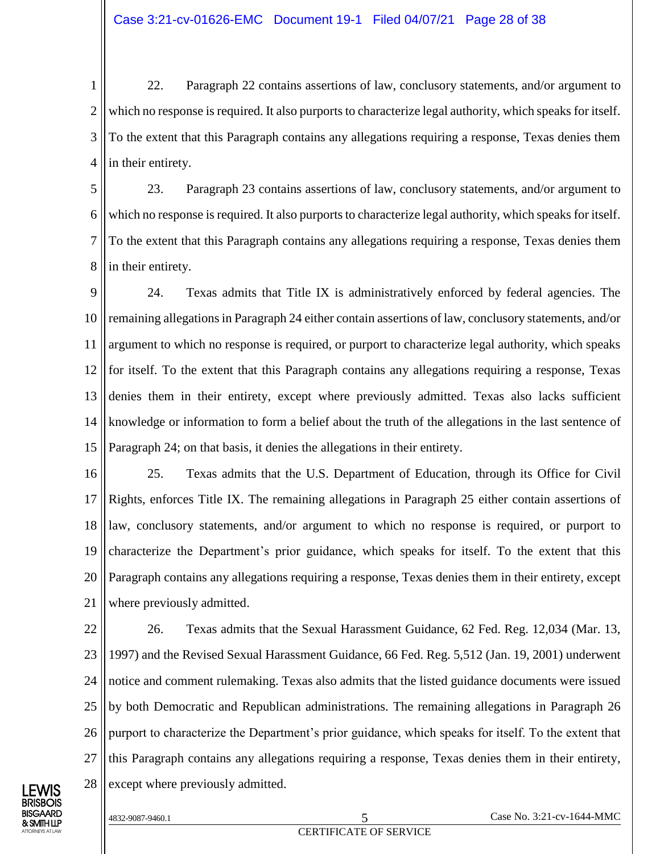1 2 3 4 22. Paragraph 22 contains assertions of law, conclusory statements, and/or argument to which no response is required. It also purports to characterize legal authority, which speaks for itself. To the extent that this Paragraph contains any allegations requiring a response, Texas denies them in their entirety.

5 6 7 8 23. Paragraph 23 contains assertions of law, conclusory statements, and/or argument to which no response is required. It also purports to characterize legal authority, which speaks for itself. To the extent that this Paragraph contains any allegations requiring a response, Texas denies them in their entirety.

9 10 11 12 13 14 15 24. Texas admits that Title IX is administratively enforced by federal agencies. The remaining allegations in Paragraph 24 either contain assertions of law, conclusory statements, and/or argument to which no response is required, or purport to characterize legal authority, which speaks for itself. To the extent that this Paragraph contains any allegations requiring a response, Texas denies them in their entirety, except where previously admitted. Texas also lacks sufficient knowledge or information to form a belief about the truth of the allegations in the last sentence of Paragraph 24; on that basis, it denies the allegations in their entirety.

16 17 18 19 20 21 25. Texas admits that the U.S. Department of Education, through its Office for Civil Rights, enforces Title IX. The remaining allegations in Paragraph 25 either contain assertions of law, conclusory statements, and/or argument to which no response is required, or purport to characterize the Department's prior guidance, which speaks for itself. To the extent that this Paragraph contains any allegations requiring a response, Texas denies them in their entirety, except where previously admitted.

22 23 24 25 26 27 28 26. Texas admits that the Sexual Harassment Guidance, 62 Fed. Reg. 12,034 (Mar. 13, 1997) and the Revised Sexual Harassment Guidance, 66 Fed. Reg. 5,512 (Jan. 19, 2001) underwent notice and comment rulemaking. Texas also admits that the listed guidance documents were issued by both Democratic and Republican administrations. The remaining allegations in Paragraph 26 purport to characterize the Department's prior guidance, which speaks for itself. To the extent that this Paragraph contains any allegations requiring a response, Texas denies them in their entirety, except where previously admitted.

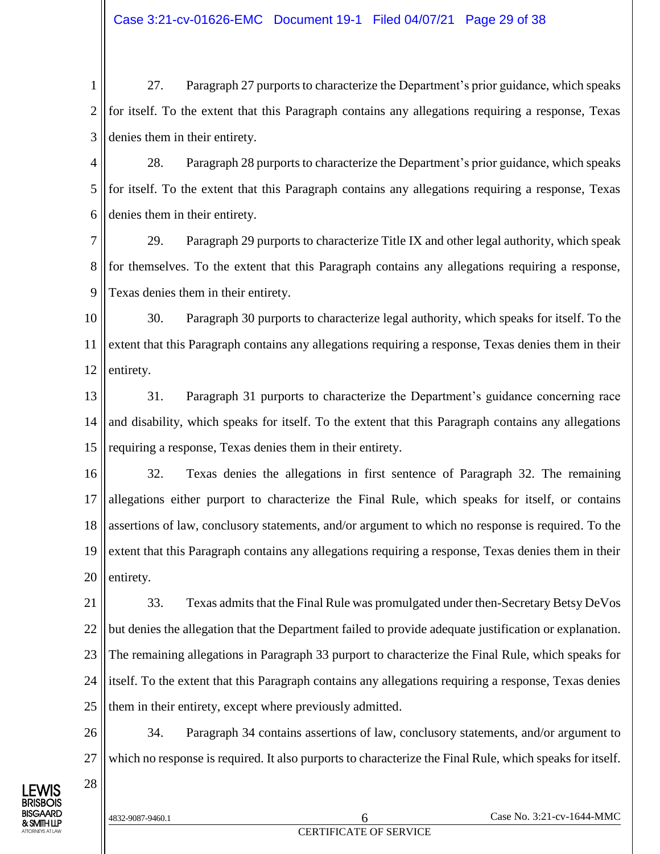1 2 3 27. Paragraph 27 purports to characterize the Department's prior guidance, which speaks for itself. To the extent that this Paragraph contains any allegations requiring a response, Texas denies them in their entirety.

4 5 6 28. Paragraph 28 purports to characterize the Department's prior guidance, which speaks for itself. To the extent that this Paragraph contains any allegations requiring a response, Texas denies them in their entirety.

7 8 9 29. Paragraph 29 purports to characterize Title IX and other legal authority, which speak for themselves. To the extent that this Paragraph contains any allegations requiring a response, Texas denies them in their entirety.

10 11 12 30. Paragraph 30 purports to characterize legal authority, which speaks for itself. To the extent that this Paragraph contains any allegations requiring a response, Texas denies them in their entirety.

13 14 15 31. Paragraph 31 purports to characterize the Department's guidance concerning race and disability, which speaks for itself. To the extent that this Paragraph contains any allegations requiring a response, Texas denies them in their entirety.

16 17 18 19 20 32. Texas denies the allegations in first sentence of Paragraph 32. The remaining allegations either purport to characterize the Final Rule, which speaks for itself, or contains assertions of law, conclusory statements, and/or argument to which no response is required. To the extent that this Paragraph contains any allegations requiring a response, Texas denies them in their entirety.

21 22 23 24 25 33. Texas admits that the Final Rule was promulgated under then-Secretary Betsy DeVos but denies the allegation that the Department failed to provide adequate justification or explanation. The remaining allegations in Paragraph 33 purport to characterize the Final Rule, which speaks for itself. To the extent that this Paragraph contains any allegations requiring a response, Texas denies them in their entirety, except where previously admitted.

26 27 34. Paragraph 34 contains assertions of law, conclusory statements, and/or argument to which no response is required. It also purports to characterize the Final Rule, which speaks for itself.

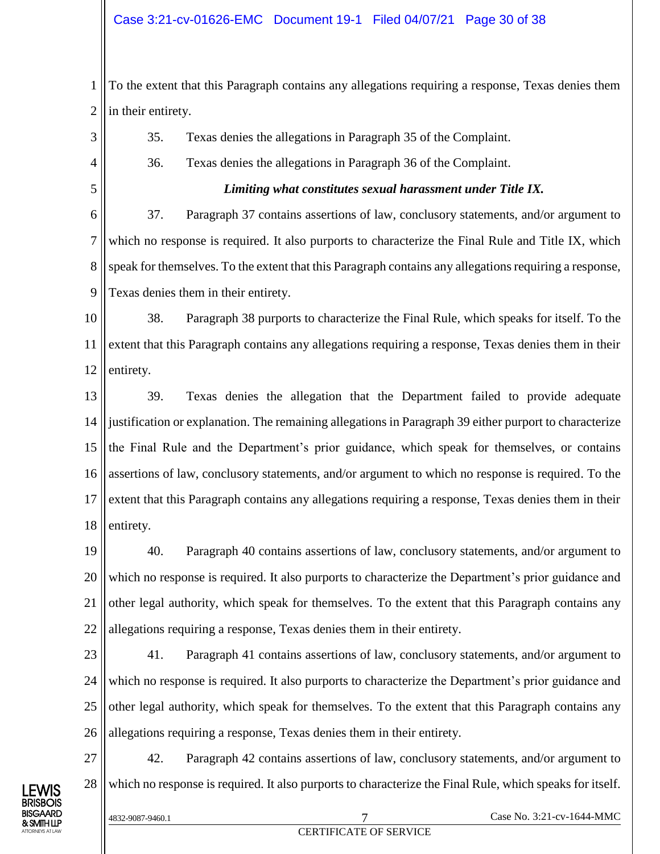1 2 To the extent that this Paragraph contains any allegations requiring a response, Texas denies them in their entirety.

- 35. Texas denies the allegations in Paragraph 35 of the Complaint.
- 36. Texas denies the allegations in Paragraph 36 of the Complaint.
	- *Limiting what constitutes sexual harassment under Title IX.*

6 7 8 9 37. Paragraph 37 contains assertions of law, conclusory statements, and/or argument to which no response is required. It also purports to characterize the Final Rule and Title IX, which speak for themselves. To the extent that this Paragraph contains any allegations requiring a response, Texas denies them in their entirety.

10 11 12 38. Paragraph 38 purports to characterize the Final Rule, which speaks for itself. To the extent that this Paragraph contains any allegations requiring a response, Texas denies them in their entirety.

13 14 15 16 17 18 39. Texas denies the allegation that the Department failed to provide adequate justification or explanation. The remaining allegations in Paragraph 39 either purport to characterize the Final Rule and the Department's prior guidance, which speak for themselves, or contains assertions of law, conclusory statements, and/or argument to which no response is required. To the extent that this Paragraph contains any allegations requiring a response, Texas denies them in their entirety.

19 20 21 22 40. Paragraph 40 contains assertions of law, conclusory statements, and/or argument to which no response is required. It also purports to characterize the Department's prior guidance and other legal authority, which speak for themselves. To the extent that this Paragraph contains any allegations requiring a response, Texas denies them in their entirety.

- 23 24 25 26 41. Paragraph 41 contains assertions of law, conclusory statements, and/or argument to which no response is required. It also purports to characterize the Department's prior guidance and other legal authority, which speak for themselves. To the extent that this Paragraph contains any allegations requiring a response, Texas denies them in their entirety.
- 28 42. Paragraph 42 contains assertions of law, conclusory statements, and/or argument to which no response is required. It also purports to characterize the Final Rule, which speaks for itself.



27

3

4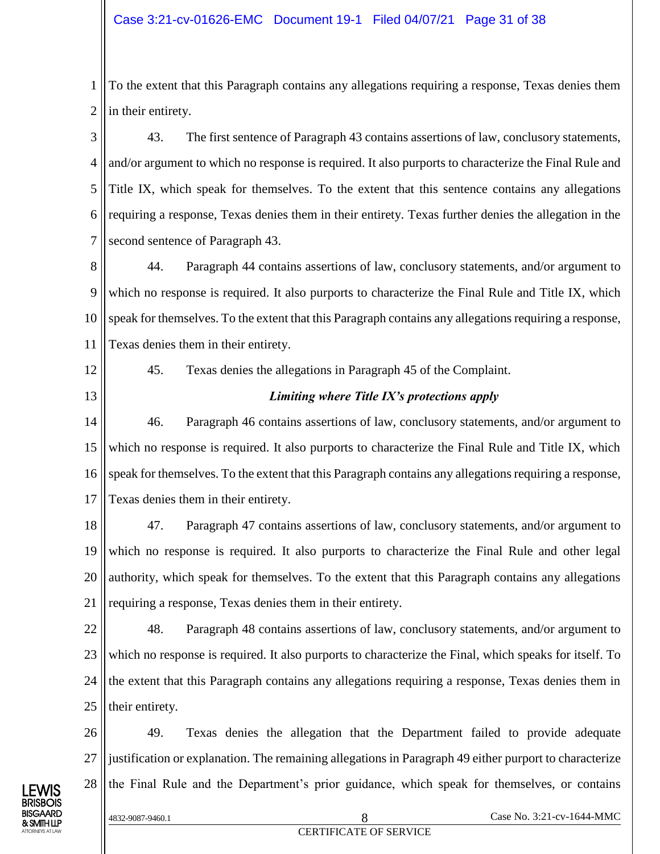1 2 To the extent that this Paragraph contains any allegations requiring a response, Texas denies them in their entirety.

3 4 5 6 7 43. The first sentence of Paragraph 43 contains assertions of law, conclusory statements, and/or argument to which no response is required. It also purports to characterize the Final Rule and Title IX, which speak for themselves. To the extent that this sentence contains any allegations requiring a response, Texas denies them in their entirety. Texas further denies the allegation in the second sentence of Paragraph 43.

8 9 10 11 44. Paragraph 44 contains assertions of law, conclusory statements, and/or argument to which no response is required. It also purports to characterize the Final Rule and Title IX, which speak for themselves. To the extent that this Paragraph contains any allegations requiring a response, Texas denies them in their entirety.

12

13

45. Texas denies the allegations in Paragraph 45 of the Complaint.

*Limiting where Title IX's protections apply*

14 15 16 17 46. Paragraph 46 contains assertions of law, conclusory statements, and/or argument to which no response is required. It also purports to characterize the Final Rule and Title IX, which speak for themselves. To the extent that this Paragraph contains any allegations requiring a response, Texas denies them in their entirety.

18 19 20 21 47. Paragraph 47 contains assertions of law, conclusory statements, and/or argument to which no response is required. It also purports to characterize the Final Rule and other legal authority, which speak for themselves. To the extent that this Paragraph contains any allegations requiring a response, Texas denies them in their entirety.

22 23 24 25 48. Paragraph 48 contains assertions of law, conclusory statements, and/or argument to which no response is required. It also purports to characterize the Final, which speaks for itself. To the extent that this Paragraph contains any allegations requiring a response, Texas denies them in their entirety.

26 27 28 49. Texas denies the allegation that the Department failed to provide adequate justification or explanation. The remaining allegations in Paragraph 49 either purport to characterize the Final Rule and the Department's prior guidance, which speak for themselves, or contains

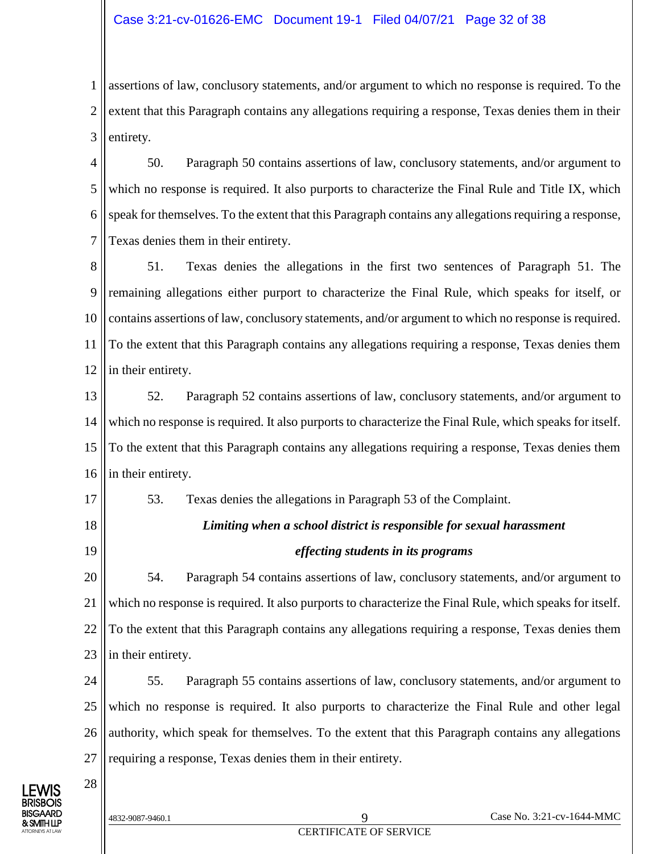#### Case 3:21-cv-01626-EMC Document 19-1 Filed 04/07/21 Page 32 of 38

1 2 3 assertions of law, conclusory statements, and/or argument to which no response is required. To the extent that this Paragraph contains any allegations requiring a response, Texas denies them in their entirety.

4 5 6 7 50. Paragraph 50 contains assertions of law, conclusory statements, and/or argument to which no response is required. It also purports to characterize the Final Rule and Title IX, which speak for themselves. To the extent that this Paragraph contains any allegations requiring a response, Texas denies them in their entirety.

8 9 10 11 12 51. Texas denies the allegations in the first two sentences of Paragraph 51. The remaining allegations either purport to characterize the Final Rule, which speaks for itself, or contains assertions of law, conclusory statements, and/or argument to which no response is required. To the extent that this Paragraph contains any allegations requiring a response, Texas denies them in their entirety.

13 14 15 16 52. Paragraph 52 contains assertions of law, conclusory statements, and/or argument to which no response is required. It also purports to characterize the Final Rule, which speaks for itself. To the extent that this Paragraph contains any allegations requiring a response, Texas denies them in their entirety.

17

- 18
- 19

28

53. Texas denies the allegations in Paragraph 53 of the Complaint.

### *Limiting when a school district is responsible for sexual harassment effecting students in its programs*

20 21 22 23 54. Paragraph 54 contains assertions of law, conclusory statements, and/or argument to which no response is required. It also purports to characterize the Final Rule, which speaks for itself. To the extent that this Paragraph contains any allegations requiring a response, Texas denies them in their entirety.

24 25 26 27 55. Paragraph 55 contains assertions of law, conclusory statements, and/or argument to which no response is required. It also purports to characterize the Final Rule and other legal authority, which speak for themselves. To the extent that this Paragraph contains any allegations requiring a response, Texas denies them in their entirety.

LEWIS BRISBOIS BISGAARD & SMITH LLP ATTORNEYS AT LAW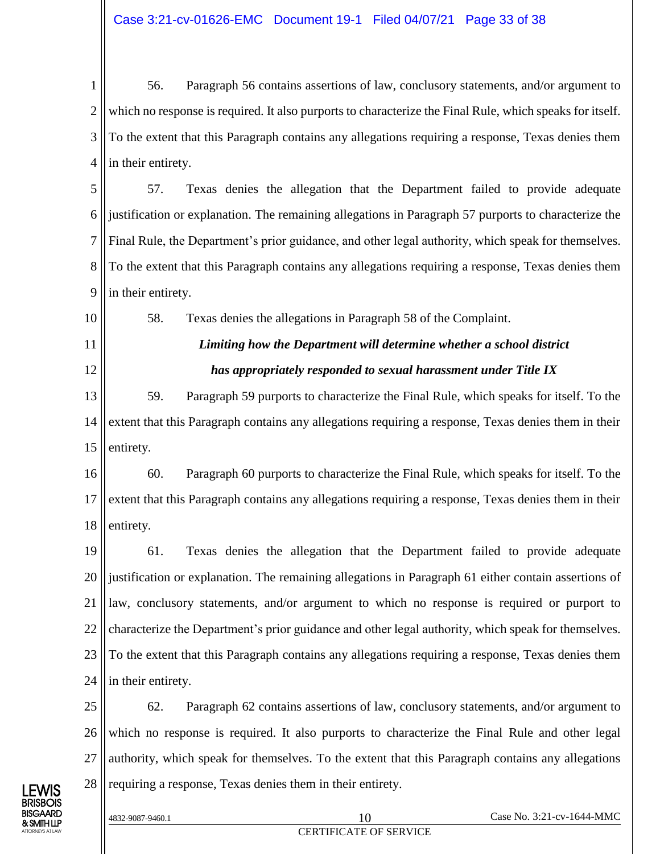1 2 3 4 56. Paragraph 56 contains assertions of law, conclusory statements, and/or argument to which no response is required. It also purports to characterize the Final Rule, which speaks for itself. To the extent that this Paragraph contains any allegations requiring a response, Texas denies them in their entirety.

5 6 7 8 9 57. Texas denies the allegation that the Department failed to provide adequate justification or explanation. The remaining allegations in Paragraph 57 purports to characterize the Final Rule, the Department's prior guidance, and other legal authority, which speak for themselves. To the extent that this Paragraph contains any allegations requiring a response, Texas denies them in their entirety.

58. Texas denies the allegations in Paragraph 58 of the Complaint.

### *Limiting how the Department will determine whether a school district has appropriately responded to sexual harassment under Title IX*

13 14 15 59. Paragraph 59 purports to characterize the Final Rule, which speaks for itself. To the extent that this Paragraph contains any allegations requiring a response, Texas denies them in their entirety.

16 17 18 60. Paragraph 60 purports to characterize the Final Rule, which speaks for itself. To the extent that this Paragraph contains any allegations requiring a response, Texas denies them in their entirety.

19 20 21 22 23 24 61. Texas denies the allegation that the Department failed to provide adequate justification or explanation. The remaining allegations in Paragraph 61 either contain assertions of law, conclusory statements, and/or argument to which no response is required or purport to characterize the Department's prior guidance and other legal authority, which speak for themselves. To the extent that this Paragraph contains any allegations requiring a response, Texas denies them in their entirety.

25 26 27 28 62. Paragraph 62 contains assertions of law, conclusory statements, and/or argument to which no response is required. It also purports to characterize the Final Rule and other legal authority, which speak for themselves. To the extent that this Paragraph contains any allegations requiring a response, Texas denies them in their entirety.



10

11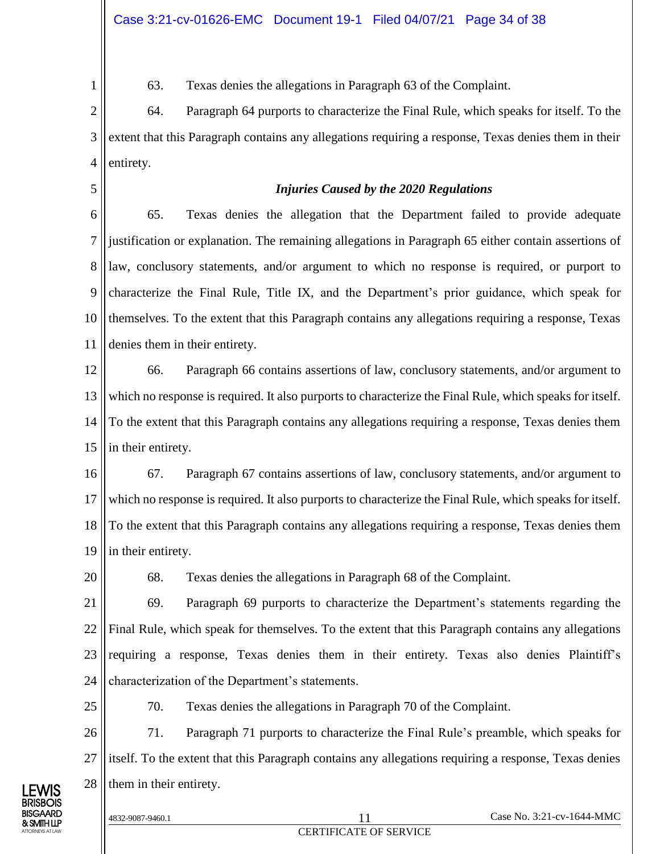63. Texas denies the allegations in Paragraph 63 of the Complaint.

2 3 4 64. Paragraph 64 purports to characterize the Final Rule, which speaks for itself. To the extent that this Paragraph contains any allegations requiring a response, Texas denies them in their entirety.

#### *Injuries Caused by the 2020 Regulations*

6 7 8 9 10 11 65. Texas denies the allegation that the Department failed to provide adequate justification or explanation. The remaining allegations in Paragraph 65 either contain assertions of law, conclusory statements, and/or argument to which no response is required, or purport to characterize the Final Rule, Title IX, and the Department's prior guidance, which speak for themselves. To the extent that this Paragraph contains any allegations requiring a response, Texas denies them in their entirety.

12 13 14 15 66. Paragraph 66 contains assertions of law, conclusory statements, and/or argument to which no response is required. It also purports to characterize the Final Rule, which speaks for itself. To the extent that this Paragraph contains any allegations requiring a response, Texas denies them in their entirety.

16 17 18 19 67. Paragraph 67 contains assertions of law, conclusory statements, and/or argument to which no response is required. It also purports to characterize the Final Rule, which speaks for itself. To the extent that this Paragraph contains any allegations requiring a response, Texas denies them in their entirety.

20

25

1

5

68. Texas denies the allegations in Paragraph 68 of the Complaint.

21 22 23 24 69. Paragraph 69 purports to characterize the Department's statements regarding the Final Rule, which speak for themselves. To the extent that this Paragraph contains any allegations requiring a response, Texas denies them in their entirety. Texas also denies Plaintiff's characterization of the Department's statements.

70. Texas denies the allegations in Paragraph 70 of the Complaint.

26 27 28 71. Paragraph 71 purports to characterize the Final Rule's preamble, which speaks for itself. To the extent that this Paragraph contains any allegations requiring a response, Texas denies them in their entirety.

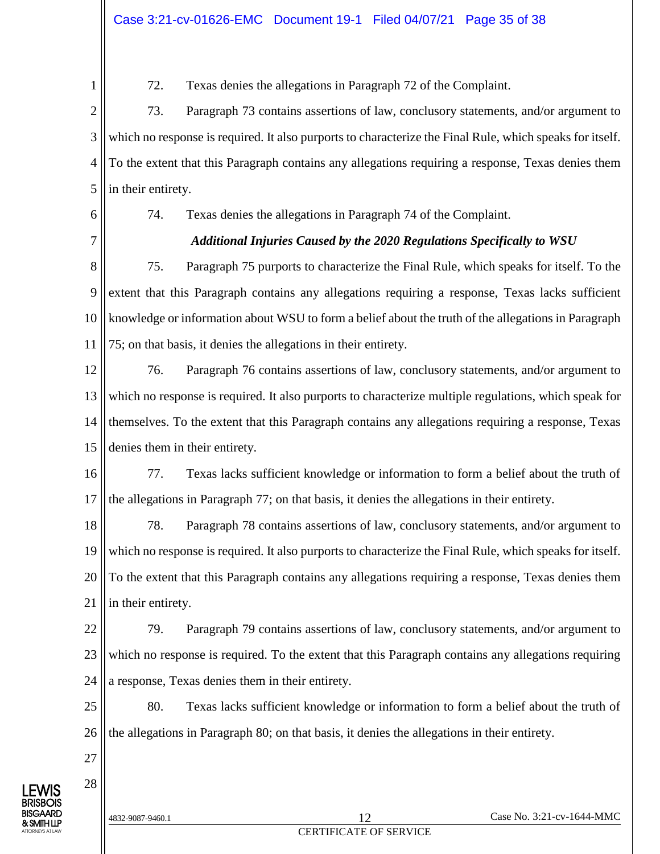1

72. Texas denies the allegations in Paragraph 72 of the Complaint.

2 3 4 5 73. Paragraph 73 contains assertions of law, conclusory statements, and/or argument to which no response is required. It also purports to characterize the Final Rule, which speaks for itself. To the extent that this Paragraph contains any allegations requiring a response, Texas denies them in their entirety.

6

74. Texas denies the allegations in Paragraph 74 of the Complaint.

7

#### *Additional Injuries Caused by the 2020 Regulations Specifically to WSU*

8 9 10 11 75. Paragraph 75 purports to characterize the Final Rule, which speaks for itself. To the extent that this Paragraph contains any allegations requiring a response, Texas lacks sufficient knowledge or information about WSU to form a belief about the truth of the allegations in Paragraph 75; on that basis, it denies the allegations in their entirety.

12 13 14 15 76. Paragraph 76 contains assertions of law, conclusory statements, and/or argument to which no response is required. It also purports to characterize multiple regulations, which speak for themselves. To the extent that this Paragraph contains any allegations requiring a response, Texas denies them in their entirety.

16 17 77. Texas lacks sufficient knowledge or information to form a belief about the truth of the allegations in Paragraph 77; on that basis, it denies the allegations in their entirety.

18 19 20 21 78. Paragraph 78 contains assertions of law, conclusory statements, and/or argument to which no response is required. It also purports to characterize the Final Rule, which speaks for itself. To the extent that this Paragraph contains any allegations requiring a response, Texas denies them in their entirety.

22 23 24 79. Paragraph 79 contains assertions of law, conclusory statements, and/or argument to which no response is required. To the extent that this Paragraph contains any allegations requiring a response, Texas denies them in their entirety.

25 26 80. Texas lacks sufficient knowledge or information to form a belief about the truth of the allegations in Paragraph 80; on that basis, it denies the allegations in their entirety.

27

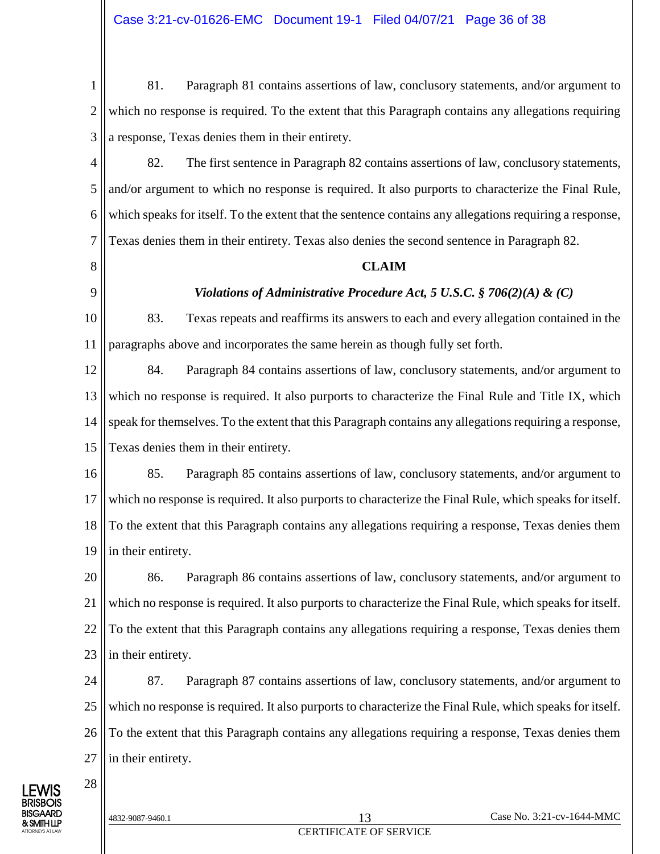1 2 3 81. Paragraph 81 contains assertions of law, conclusory statements, and/or argument to which no response is required. To the extent that this Paragraph contains any allegations requiring a response, Texas denies them in their entirety.

4 5 6 7 82. The first sentence in Paragraph 82 contains assertions of law, conclusory statements, and/or argument to which no response is required. It also purports to characterize the Final Rule, which speaks for itself. To the extent that the sentence contains any allegations requiring a response, Texas denies them in their entirety. Texas also denies the second sentence in Paragraph 82.

8

9

#### **CLAIM**

#### *Violations of Administrative Procedure Act, 5 U.S.C. § 706(2)(A) & (C)*

10 11 83. Texas repeats and reaffirms its answers to each and every allegation contained in the paragraphs above and incorporates the same herein as though fully set forth.

12 13 14 15 84. Paragraph 84 contains assertions of law, conclusory statements, and/or argument to which no response is required. It also purports to characterize the Final Rule and Title IX, which speak for themselves. To the extent that this Paragraph contains any allegations requiring a response, Texas denies them in their entirety.

16 17 18 19 85. Paragraph 85 contains assertions of law, conclusory statements, and/or argument to which no response is required. It also purports to characterize the Final Rule, which speaks for itself. To the extent that this Paragraph contains any allegations requiring a response, Texas denies them in their entirety.

20 21 22 23 86. Paragraph 86 contains assertions of law, conclusory statements, and/or argument to which no response is required. It also purports to characterize the Final Rule, which speaks for itself. To the extent that this Paragraph contains any allegations requiring a response, Texas denies them in their entirety.

24 25 26 27 87. Paragraph 87 contains assertions of law, conclusory statements, and/or argument to which no response is required. It also purports to characterize the Final Rule, which speaks for itself. To the extent that this Paragraph contains any allegations requiring a response, Texas denies them in their entirety.

LEWIS BRISBOIS BISGAARD & SMITH LLP ATTORNEYS AT LAW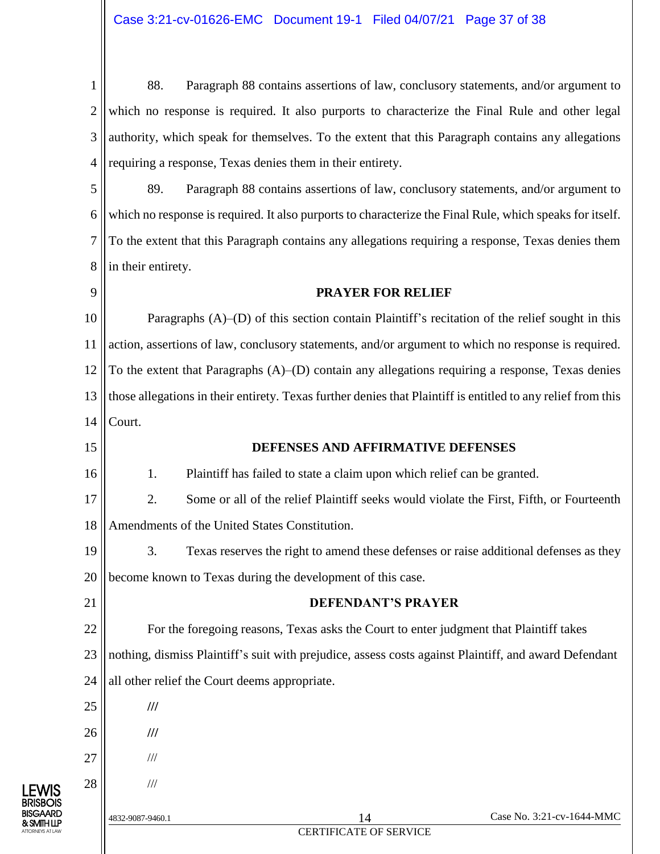1 2 3 4 88. Paragraph 88 contains assertions of law, conclusory statements, and/or argument to which no response is required. It also purports to characterize the Final Rule and other legal authority, which speak for themselves. To the extent that this Paragraph contains any allegations requiring a response, Texas denies them in their entirety.

5 6 7 8 89. Paragraph 88 contains assertions of law, conclusory statements, and/or argument to which no response is required. It also purports to characterize the Final Rule, which speaks for itself. To the extent that this Paragraph contains any allegations requiring a response, Texas denies them in their entirety.

#### **PRAYER FOR RELIEF**

10 11 12 13 14 Paragraphs (A)–(D) of this section contain Plaintiff's recitation of the relief sought in this action, assertions of law, conclusory statements, and/or argument to which no response is required. To the extent that Paragraphs  $(A)$ – $(D)$  contain any allegations requiring a response, Texas denies those allegations in their entirety. Texas further denies that Plaintiff is entitled to any relief from this Court.

15

16

9

#### **DEFENSES AND AFFIRMATIVE DEFENSES**

1. Plaintiff has failed to state a claim upon which relief can be granted.

17 18 2. Some or all of the relief Plaintiff seeks would violate the First, Fifth, or Fourteenth Amendments of the United States Constitution.

19 20 3. Texas reserves the right to amend these defenses or raise additional defenses as they become known to Texas during the development of this case.

21

27

28

## **DEFENDANT'S PRAYER**

22 23 24 For the foregoing reasons, Texas asks the Court to enter judgment that Plaintiff takes nothing, dismiss Plaintiff's suit with prejudice, assess costs against Plaintiff, and award Defendant all other relief the Court deems appropriate.

- 25 **///**
- 26 **///**
	- ///



| $\overline{\phantom{a}}$ |  |  | $/\!/ \!/$ |
|--------------------------|--|--|------------|
|                          |  |  |            |